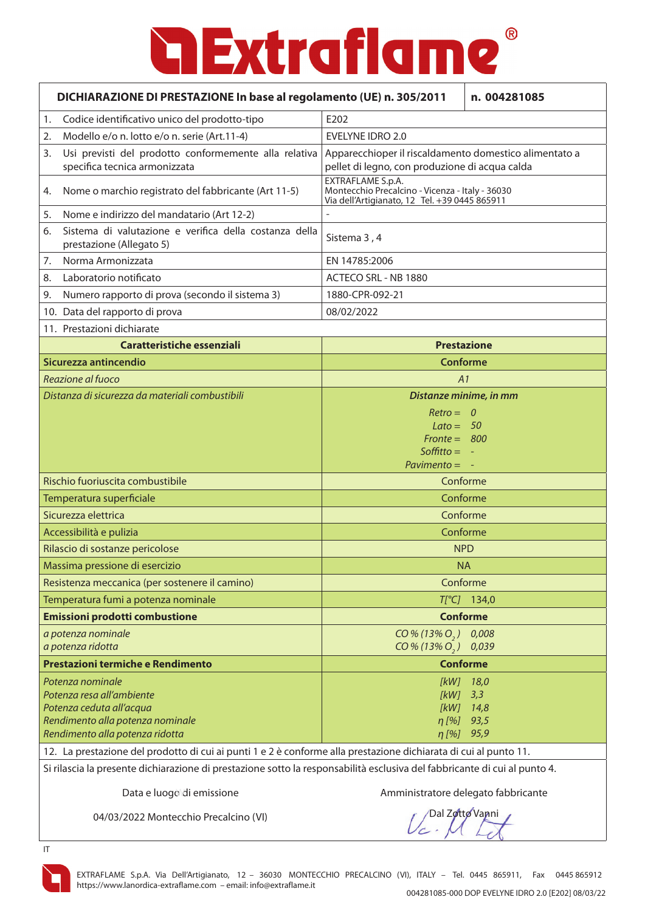### $^{\circledR}$ **a Extraflame**

|                                                                                                                  | DICHIARAZIONE DI PRESTAZIONE In base al regolamento (UE) n. 305/2011<br>n. 004281085   |                                                                                                                       |                      |
|------------------------------------------------------------------------------------------------------------------|----------------------------------------------------------------------------------------|-----------------------------------------------------------------------------------------------------------------------|----------------------|
| 1.                                                                                                               | Codice identificativo unico del prodotto-tipo                                          | E202                                                                                                                  |                      |
| 2.                                                                                                               | Modello e/o n. lotto e/o n. serie (Art.11-4)                                           | <b>EVELYNE IDRO 2.0</b>                                                                                               |                      |
| 3.                                                                                                               | Usi previsti del prodotto conformemente alla relativa<br>specifica tecnica armonizzata | Apparecchioper il riscaldamento domestico alimentato a<br>pellet di legno, con produzione di acqua calda              |                      |
| 4.                                                                                                               | Nome o marchio registrato del fabbricante (Art 11-5)                                   | EXTRAFLAME S.p.A.<br>Montecchio Precalcino - Vicenza - Italy - 36030<br>Via dell'Artigianato, 12 Tel. +39 0445 865911 |                      |
| 5.                                                                                                               | Nome e indirizzo del mandatario (Art 12-2)                                             |                                                                                                                       |                      |
| 6.                                                                                                               | Sistema di valutazione e verifica della costanza della<br>prestazione (Allegato 5)     | Sistema 3, 4                                                                                                          |                      |
| 7.                                                                                                               | Norma Armonizzata                                                                      | EN 14785:2006                                                                                                         |                      |
| 8.                                                                                                               | Laboratorio notificato                                                                 | ACTECO SRL - NB 1880                                                                                                  |                      |
| 9.                                                                                                               | Numero rapporto di prova (secondo il sistema 3)                                        | 1880-CPR-092-21                                                                                                       |                      |
|                                                                                                                  | 10. Data del rapporto di prova                                                         | 08/02/2022                                                                                                            |                      |
|                                                                                                                  | 11. Prestazioni dichiarate                                                             |                                                                                                                       |                      |
|                                                                                                                  | Caratteristiche essenziali                                                             | <b>Prestazione</b>                                                                                                    |                      |
|                                                                                                                  | Sicurezza antincendio                                                                  | Conforme                                                                                                              |                      |
|                                                                                                                  | Reazione al fuoco                                                                      | A1                                                                                                                    |                      |
|                                                                                                                  | Distanza di sicurezza da materiali combustibili                                        | Distanze minime, in mm                                                                                                |                      |
|                                                                                                                  |                                                                                        | $Retro = 0$                                                                                                           |                      |
|                                                                                                                  |                                                                                        | $Lato = 50$<br>$Front = 800$                                                                                          |                      |
|                                                                                                                  |                                                                                        | Soffitto $= -$                                                                                                        |                      |
|                                                                                                                  |                                                                                        | Pavimento $= -$                                                                                                       |                      |
| Rischio fuoriuscita combustibile                                                                                 |                                                                                        | Conforme                                                                                                              |                      |
|                                                                                                                  | Temperatura superficiale                                                               | Conforme                                                                                                              |                      |
|                                                                                                                  | Sicurezza elettrica                                                                    | Conforme                                                                                                              |                      |
|                                                                                                                  | Accessibilità e pulizia                                                                | Conforme                                                                                                              |                      |
|                                                                                                                  | Rilascio di sostanze pericolose                                                        | <b>NPD</b>                                                                                                            |                      |
|                                                                                                                  | Massima pressione di esercizio                                                         | <b>NA</b>                                                                                                             |                      |
|                                                                                                                  | Resistenza meccanica (per sostenere il camino)                                         | Conforme                                                                                                              |                      |
|                                                                                                                  | Temperatura fumi a potenza nominale                                                    |                                                                                                                       | $T[^{\circ}C]$ 134,0 |
|                                                                                                                  | Emissioni prodotti combustione                                                         | <b>Conforme</b>                                                                                                       |                      |
|                                                                                                                  | a potenza nominale                                                                     | $CO\% (13\% O, )$                                                                                                     | 0,008                |
|                                                                                                                  | a potenza ridotta                                                                      | $CO\% (13\% O, )$                                                                                                     | 0,039                |
|                                                                                                                  | Prestazioni termiche e Rendimento                                                      | <b>Conforme</b>                                                                                                       |                      |
|                                                                                                                  | Potenza nominale                                                                       | $[KW]$ 18,0                                                                                                           |                      |
|                                                                                                                  | Potenza resa all'ambiente<br>Potenza ceduta all'acqua                                  | [kW]<br>[kW]                                                                                                          | 3,3<br>14,8          |
|                                                                                                                  | Rendimento alla potenza nominale                                                       | $\eta$ [%]                                                                                                            | 93,5                 |
|                                                                                                                  | Rendimento alla potenza ridotta                                                        | $\eta$ [%]                                                                                                            | 95,9                 |
| 12. La prestazione del prodotto di cui ai punti 1 e 2 è conforme alla prestazione dichiarata di cui al punto 11. |                                                                                        |                                                                                                                       |                      |

Si rilascia la presente dichiarazione di prestazione sotto la responsabilità esclusiva del fabbricante di cui al punto 4.

Data e luogo di emissione

Amministratore delegato fabbricante

04/03/2022 Montecchio Precalcino (VI)

Dal Zotto Vanni



IT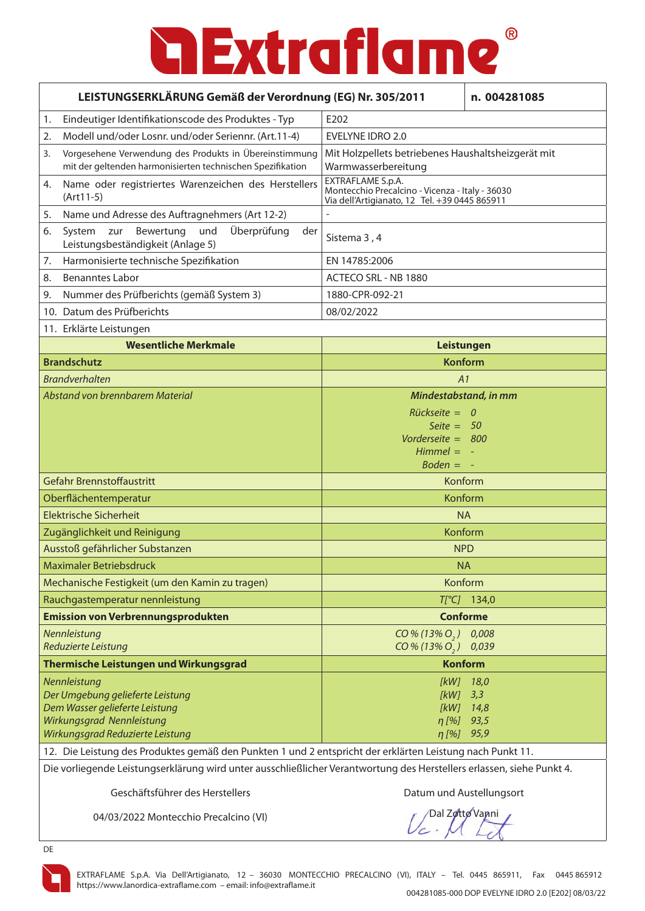| LEISTUNGSERKLÄRUNG Gemäß der Verordnung (EG) Nr. 305/2011                                                             |                                                                                                                      |                                                                                                                       | n. 004281085         |
|-----------------------------------------------------------------------------------------------------------------------|----------------------------------------------------------------------------------------------------------------------|-----------------------------------------------------------------------------------------------------------------------|----------------------|
| 1.                                                                                                                    | Eindeutiger Identifikationscode des Produktes - Typ                                                                  | E <sub>202</sub>                                                                                                      |                      |
| 2.                                                                                                                    | Modell und/oder Losnr. und/oder Seriennr. (Art.11-4)                                                                 | <b>EVELYNE IDRO 2.0</b>                                                                                               |                      |
| 3.                                                                                                                    | Vorgesehene Verwendung des Produkts in Übereinstimmung<br>mit der geltenden harmonisierten technischen Spezifikation | Mit Holzpellets betriebenes Haushaltsheizgerät mit<br>Warmwasserbereitung                                             |                      |
| 4.                                                                                                                    | Name oder registriertes Warenzeichen des Herstellers<br>$(Art11-5)$                                                  | EXTRAFLAME S.p.A.<br>Montecchio Precalcino - Vicenza - Italy - 36030<br>Via dell'Artigianato, 12 Tel. +39 0445 865911 |                      |
| 5.                                                                                                                    | Name und Adresse des Auftragnehmers (Art 12-2)                                                                       |                                                                                                                       |                      |
| 6.                                                                                                                    | Überprüfung<br>Bewertung<br>und<br>System zur<br>der<br>Leistungsbeständigkeit (Anlage 5)                            | Sistema 3, 4                                                                                                          |                      |
| 7.                                                                                                                    | Harmonisierte technische Spezifikation                                                                               | EN 14785:2006                                                                                                         |                      |
| 8.                                                                                                                    | <b>Benanntes Labor</b>                                                                                               | ACTECO SRL - NB 1880                                                                                                  |                      |
| 9.                                                                                                                    | Nummer des Prüfberichts (gemäß System 3)                                                                             | 1880-CPR-092-21                                                                                                       |                      |
|                                                                                                                       | 10. Datum des Prüfberichts                                                                                           | 08/02/2022                                                                                                            |                      |
|                                                                                                                       | 11. Erklärte Leistungen                                                                                              |                                                                                                                       |                      |
|                                                                                                                       | <b>Wesentliche Merkmale</b>                                                                                          | Leistungen                                                                                                            |                      |
|                                                                                                                       | <b>Brandschutz</b>                                                                                                   | <b>Konform</b>                                                                                                        |                      |
|                                                                                                                       | <b>Brandverhalten</b>                                                                                                | A1                                                                                                                    |                      |
|                                                                                                                       | Abstand von brennbarem Material                                                                                      | Mindestabstand, in mm                                                                                                 |                      |
|                                                                                                                       |                                                                                                                      | $Rückseite = 0$                                                                                                       |                      |
|                                                                                                                       |                                                                                                                      | Seite $= 50$<br>Vorderseite = 800                                                                                     |                      |
|                                                                                                                       |                                                                                                                      | $Himmel = -$                                                                                                          |                      |
|                                                                                                                       |                                                                                                                      | $Boden = -$                                                                                                           |                      |
|                                                                                                                       | <b>Gefahr Brennstoffaustritt</b>                                                                                     | Konform                                                                                                               |                      |
|                                                                                                                       | Oberflächentemperatur                                                                                                | Konform                                                                                                               |                      |
|                                                                                                                       | Elektrische Sicherheit                                                                                               | <b>NA</b>                                                                                                             |                      |
|                                                                                                                       | Zugänglichkeit und Reinigung                                                                                         | Konform                                                                                                               |                      |
|                                                                                                                       | Ausstoß gefährlicher Substanzen                                                                                      | <b>NPD</b>                                                                                                            |                      |
|                                                                                                                       | <b>Maximaler Betriebsdruck</b>                                                                                       | <b>NA</b>                                                                                                             |                      |
|                                                                                                                       | Mechanische Festigkeit (um den Kamin zu tragen)                                                                      | Konform                                                                                                               |                      |
|                                                                                                                       | Rauchgastemperatur nennleistung                                                                                      |                                                                                                                       | $T[^{\circ}C]$ 134,0 |
|                                                                                                                       | <b>Emission von Verbrennungsprodukten</b>                                                                            | <b>Conforme</b>                                                                                                       |                      |
|                                                                                                                       | Nennleistung<br>Reduzierte Leistung                                                                                  | $CO\% (13\% O_{2})$<br>$CO\% (13\% O, )$                                                                              | 0,008<br>0,039       |
| Thermische Leistungen und Wirkungsgrad                                                                                |                                                                                                                      | <b>Konform</b>                                                                                                        |                      |
|                                                                                                                       | Nennleistung                                                                                                         | [kW]                                                                                                                  | 18,0                 |
|                                                                                                                       | Der Umgebung gelieferte Leistung                                                                                     | [kW]                                                                                                                  | 3,3                  |
| Dem Wasser gelieferte Leistung<br>Wirkungsgrad Nennleistung                                                           |                                                                                                                      | [kW]<br>$\eta$ [%]                                                                                                    | 14,8<br>93,5         |
| Wirkungsgrad Reduzierte Leistung                                                                                      |                                                                                                                      | $\eta$ [%] 95,9                                                                                                       |                      |
|                                                                                                                       | 12. Die Leistung des Produktes gemäß den Punkten 1 und 2 entspricht der erklärten Leistung nach Punkt 11.            |                                                                                                                       |                      |
| Die vorliegende Leistungserklärung wird unter ausschließlicher Verantwortung des Herstellers erlassen, siehe Punkt 4. |                                                                                                                      |                                                                                                                       |                      |

Geschäftsführer des Herstellers **Datum und Austellungsort** 

04/03/2022 Montecchio Precalcino (VI)

Dal Zotto Vanni

DE

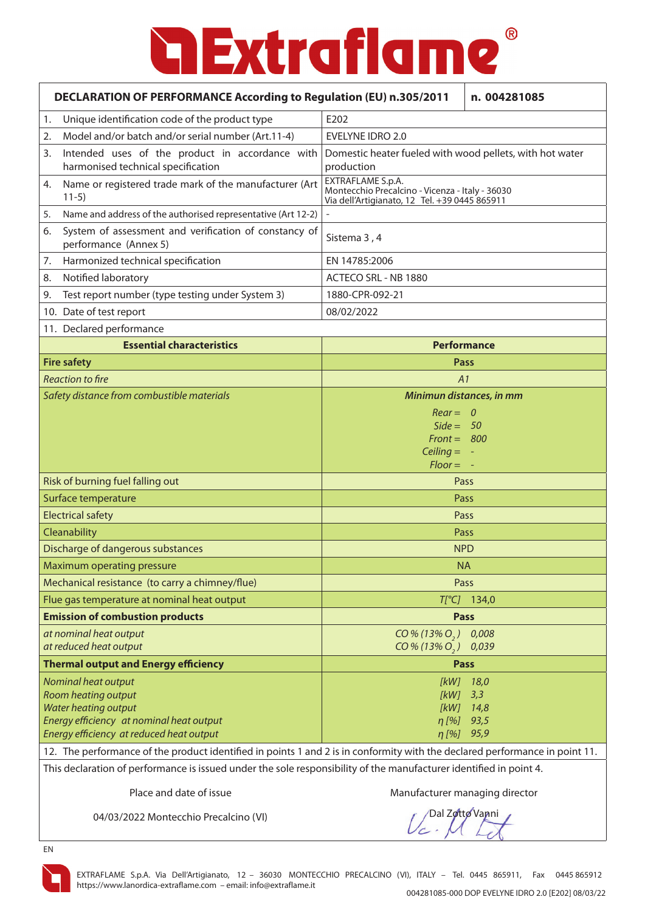|                                                                                                                             | DECLARATION OF PERFORMANCE According to Regulation (EU) n.305/2011<br>n. 004281085    |                                                                                                                       |                      |
|-----------------------------------------------------------------------------------------------------------------------------|---------------------------------------------------------------------------------------|-----------------------------------------------------------------------------------------------------------------------|----------------------|
| 1.                                                                                                                          | Unique identification code of the product type                                        | E202                                                                                                                  |                      |
| 2.                                                                                                                          | Model and/or batch and/or serial number (Art.11-4)                                    | <b>EVELYNE IDRO 2.0</b>                                                                                               |                      |
| 3.                                                                                                                          | Intended uses of the product in accordance with<br>harmonised technical specification | Domestic heater fueled with wood pellets, with hot water<br>production                                                |                      |
| 4.                                                                                                                          | Name or registered trade mark of the manufacturer (Art<br>$11-5)$                     | EXTRAFLAME S.p.A.<br>Montecchio Precalcino - Vicenza - Italy - 36030<br>Via dell'Artigianato, 12 Tel. +39 0445 865911 |                      |
| 5.                                                                                                                          | Name and address of the authorised representative (Art 12-2)                          |                                                                                                                       |                      |
| 6.                                                                                                                          | System of assessment and verification of constancy of<br>performance (Annex 5)        | Sistema 3, 4                                                                                                          |                      |
| 7.                                                                                                                          | Harmonized technical specification                                                    | EN 14785:2006                                                                                                         |                      |
| 8.                                                                                                                          | Notified laboratory                                                                   | ACTECO SRL - NB 1880                                                                                                  |                      |
| 9.                                                                                                                          | Test report number (type testing under System 3)                                      | 1880-CPR-092-21                                                                                                       |                      |
|                                                                                                                             | 10. Date of test report                                                               | 08/02/2022                                                                                                            |                      |
|                                                                                                                             | 11. Declared performance                                                              |                                                                                                                       |                      |
|                                                                                                                             | <b>Essential characteristics</b>                                                      | <b>Performance</b>                                                                                                    |                      |
|                                                                                                                             | <b>Fire safety</b>                                                                    | Pass                                                                                                                  |                      |
|                                                                                                                             | <b>Reaction to fire</b>                                                               | A1                                                                                                                    |                      |
|                                                                                                                             | Safety distance from combustible materials                                            | Minimun distances, in mm                                                                                              |                      |
|                                                                                                                             |                                                                                       | $Rear = 0$                                                                                                            |                      |
|                                                                                                                             |                                                                                       | $Side = 50$                                                                                                           |                      |
|                                                                                                                             |                                                                                       | $Front = 800$                                                                                                         |                      |
|                                                                                                                             |                                                                                       | Ceiling $= -$                                                                                                         |                      |
|                                                                                                                             |                                                                                       | $Floor = -$                                                                                                           |                      |
| Risk of burning fuel falling out                                                                                            |                                                                                       | Pass                                                                                                                  |                      |
|                                                                                                                             | Surface temperature                                                                   | Pass                                                                                                                  |                      |
|                                                                                                                             | <b>Electrical safety</b>                                                              | Pass                                                                                                                  |                      |
|                                                                                                                             | Cleanability                                                                          | Pass                                                                                                                  |                      |
|                                                                                                                             | Discharge of dangerous substances                                                     | <b>NPD</b>                                                                                                            |                      |
|                                                                                                                             | Maximum operating pressure                                                            | <b>NA</b>                                                                                                             |                      |
|                                                                                                                             | Mechanical resistance (to carry a chimney/flue)                                       | Pass                                                                                                                  |                      |
|                                                                                                                             | Flue gas temperature at nominal heat output                                           |                                                                                                                       | $T[^{\circ}C]$ 134,0 |
|                                                                                                                             | <b>Emission of combustion products</b>                                                | <b>Pass</b>                                                                                                           |                      |
|                                                                                                                             | at nominal heat output<br>at reduced heat output                                      | $CO\% (13\% O, )$<br>$CO\% (13\% O, )$                                                                                | 0,008<br>0,039       |
|                                                                                                                             | <b>Thermal output and Energy efficiency</b>                                           | <b>Pass</b>                                                                                                           |                      |
|                                                                                                                             | <b>Nominal heat output</b>                                                            | [kW]                                                                                                                  | 18,0                 |
|                                                                                                                             | Room heating output                                                                   | [KW]                                                                                                                  | 3,3                  |
|                                                                                                                             | Water heating output                                                                  | [KW]                                                                                                                  | 14,8                 |
|                                                                                                                             | Energy efficiency at nominal heat output                                              | $\eta$ [%]                                                                                                            | 93,5                 |
|                                                                                                                             | Energy efficiency at reduced heat output                                              | $n[%]$ 95,9                                                                                                           |                      |
| 12. The performance of the product identified in points 1 and 2 is in conformity with the declared performance in point 11. |                                                                                       |                                                                                                                       |                      |
| This declaration of performance is issued under the sole responsibility of the manufacturer identified in point 4.          |                                                                                       |                                                                                                                       |                      |
|                                                                                                                             | Place and date of issue                                                               | Manufacturer managing director                                                                                        |                      |

04/03/2022 Montecchio Precalcino (VI)

Dal Zotto Vanni

EN

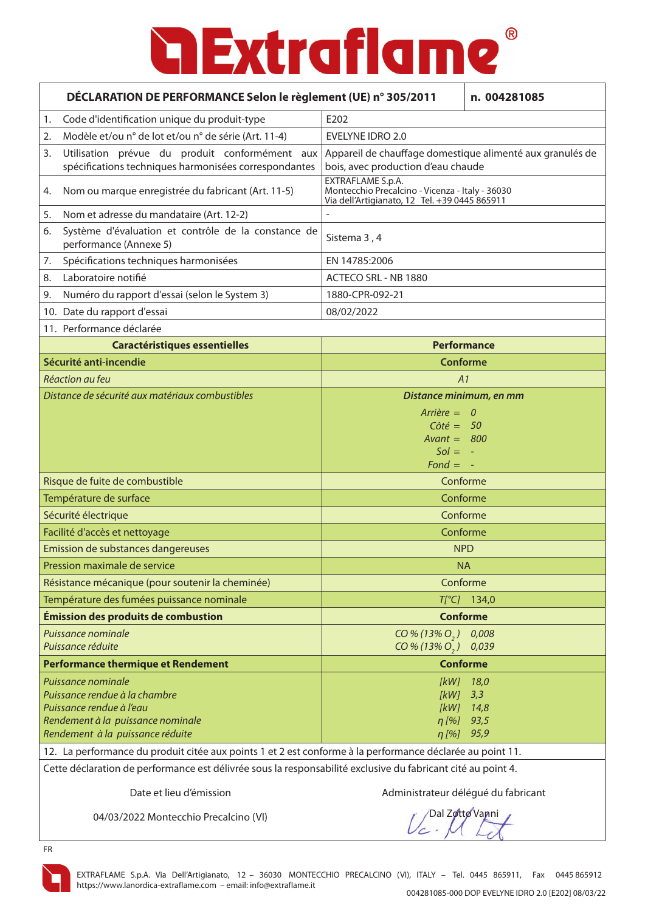|                                           | DÉCLARATION DE PERFORMANCE Selon le règlement (UE) n° 305/2011<br>n. 004281085                                                                                                                                                                                        |                                                                                                                       |                                    |
|-------------------------------------------|-----------------------------------------------------------------------------------------------------------------------------------------------------------------------------------------------------------------------------------------------------------------------|-----------------------------------------------------------------------------------------------------------------------|------------------------------------|
| 1.                                        | Code d'identification unique du produit-type                                                                                                                                                                                                                          | E202                                                                                                                  |                                    |
| 2.                                        | Modèle et/ou n° de lot et/ou n° de série (Art. 11-4)                                                                                                                                                                                                                  | <b>EVELYNE IDRO 2.0</b>                                                                                               |                                    |
| 3.                                        | Utilisation prévue du produit conformément aux<br>spécifications techniques harmonisées correspondantes                                                                                                                                                               | Appareil de chauffage domestique alimenté aux granulés de<br>bois, avec production d'eau chaude                       |                                    |
| 4.                                        | Nom ou marque enregistrée du fabricant (Art. 11-5)                                                                                                                                                                                                                    | EXTRAFLAME S.p.A.<br>Montecchio Precalcino - Vicenza - Italy - 36030<br>Via dell'Artigianato, 12 Tel. +39 0445 865911 |                                    |
| 5.                                        | Nom et adresse du mandataire (Art. 12-2)                                                                                                                                                                                                                              |                                                                                                                       |                                    |
| 6.                                        | Système d'évaluation et contrôle de la constance de<br>performance (Annexe 5)                                                                                                                                                                                         | Sistema 3, 4                                                                                                          |                                    |
| 7.                                        | Spécifications techniques harmonisées                                                                                                                                                                                                                                 | EN 14785:2006                                                                                                         |                                    |
| 8.                                        | Laboratoire notifié                                                                                                                                                                                                                                                   | ACTECO SRL - NB 1880                                                                                                  |                                    |
| 9.                                        | Numéro du rapport d'essai (selon le System 3)                                                                                                                                                                                                                         | 1880-CPR-092-21                                                                                                       |                                    |
|                                           | 10. Date du rapport d'essai                                                                                                                                                                                                                                           | 08/02/2022                                                                                                            |                                    |
|                                           | 11. Performance déclarée                                                                                                                                                                                                                                              |                                                                                                                       |                                    |
|                                           | <b>Caractéristiques essentielles</b>                                                                                                                                                                                                                                  |                                                                                                                       | <b>Performance</b>                 |
|                                           | Sécurité anti-incendie                                                                                                                                                                                                                                                | <b>Conforme</b>                                                                                                       |                                    |
|                                           | Réaction au feu                                                                                                                                                                                                                                                       | A1                                                                                                                    |                                    |
|                                           | Distance de sécurité aux matériaux combustibles                                                                                                                                                                                                                       | Distance minimum, en mm                                                                                               |                                    |
|                                           |                                                                                                                                                                                                                                                                       | $Arrière = 0$<br>$C \hat{o} t \hat{e} = 50$<br>$Avant = 800$<br>$Sol = -$<br>$Fond = -$                               |                                    |
| Risque de fuite de combustible            |                                                                                                                                                                                                                                                                       | Conforme                                                                                                              |                                    |
| Température de surface                    |                                                                                                                                                                                                                                                                       | Conforme                                                                                                              |                                    |
|                                           | Sécurité électrique                                                                                                                                                                                                                                                   | Conforme                                                                                                              |                                    |
|                                           | Facilité d'accès et nettoyage                                                                                                                                                                                                                                         | Conforme                                                                                                              |                                    |
|                                           | Emission de substances dangereuses                                                                                                                                                                                                                                    | <b>NPD</b>                                                                                                            |                                    |
|                                           | Pression maximale de service                                                                                                                                                                                                                                          | <b>NA</b>                                                                                                             |                                    |
|                                           | Résistance mécanique (pour soutenir la cheminée)                                                                                                                                                                                                                      |                                                                                                                       | Conforme                           |
|                                           | Température des fumées puissance nominale                                                                                                                                                                                                                             |                                                                                                                       | $T[^{\circ}C]$ 134,0               |
|                                           | Émission des produits de combustion                                                                                                                                                                                                                                   | <b>Conforme</b>                                                                                                       |                                    |
|                                           | Puissance nominale<br>Puissance réduite                                                                                                                                                                                                                               | $CO\% (13\% O, )$<br>$CO\% (13\% O, )$                                                                                | 0,008<br>0,039                     |
| <b>Performance thermique et Rendement</b> |                                                                                                                                                                                                                                                                       | <b>Conforme</b>                                                                                                       |                                    |
|                                           | Puissance nominale<br>Puissance rendue à la chambre<br>Puissance rendue à l'eau<br>Rendement à la puissance nominale<br>Rendement à la puissance réduite<br>12. La performance du produit citée aux points 1 et 2 est conforme à la performance déclarée au point 11. | $[kW]$ 3,3<br>η [%]<br>$\eta$ [%] 95,9                                                                                | $[KW]$ 18,0<br>$[KW]$ 14,8<br>93,5 |

Cette déclaration de performance est délivrée sous la responsabilité exclusive du fabricant cité au point 4.

Date et lieu d'émission **Administrateur délégué du fabricant** 

04/03/2022 Montecchio Precalcino (VI)

Dal Zotto Vanni



FR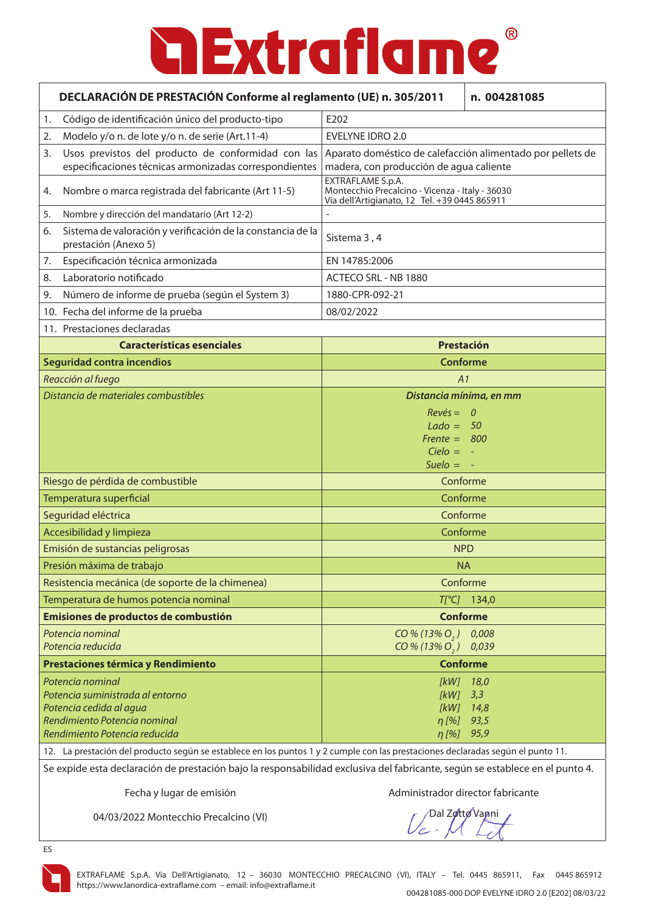|                                  | DECLARACIÓN DE PRESTACIÓN Conforme al reglamento (UE) n. 305/2011<br>n. 004281085                                         |                                                                                                                       |                 |
|----------------------------------|---------------------------------------------------------------------------------------------------------------------------|-----------------------------------------------------------------------------------------------------------------------|-----------------|
| 1.                               | Código de identificación único del producto-tipo                                                                          | E202                                                                                                                  |                 |
| 2.                               | Modelo y/o n. de lote y/o n. de serie (Art.11-4)                                                                          | <b>EVELYNE IDRO 2.0</b>                                                                                               |                 |
| 3.                               | Usos previstos del producto de conformidad con las<br>especificaciones técnicas armonizadas correspondientes              | Aparato doméstico de calefacción alimentado por pellets de<br>madera, con producción de agua caliente                 |                 |
| 4.                               | Nombre o marca registrada del fabricante (Art 11-5)                                                                       | EXTRAFLAME S.p.A.<br>Montecchio Precalcino - Vicenza - Italy - 36030<br>Via dell'Artigianato, 12 Tel. +39 0445 865911 |                 |
| 5.                               | Nombre y dirección del mandatario (Art 12-2)                                                                              |                                                                                                                       |                 |
| 6.                               | Sistema de valoración y verificación de la constancia de la<br>prestación (Anexo 5)                                       | Sistema 3, 4                                                                                                          |                 |
| 7.                               | Especificación técnica armonizada                                                                                         | EN 14785:2006                                                                                                         |                 |
| 8.                               | Laboratorio notificado                                                                                                    | ACTECO SRL - NB 1880                                                                                                  |                 |
| 9.                               | Número de informe de prueba (según el System 3)                                                                           | 1880-CPR-092-21                                                                                                       |                 |
|                                  | 10. Fecha del informe de la prueba                                                                                        | 08/02/2022                                                                                                            |                 |
|                                  | 11. Prestaciones declaradas                                                                                               |                                                                                                                       |                 |
|                                  | <b>Características esenciales</b>                                                                                         | Prestación                                                                                                            |                 |
|                                  | Seguridad contra incendios                                                                                                | <b>Conforme</b>                                                                                                       |                 |
|                                  | Reacción al fuego                                                                                                         | A1                                                                                                                    |                 |
|                                  | Distancia de materiales combustibles                                                                                      | Distancia mínima, en mm                                                                                               |                 |
|                                  |                                                                                                                           | $Rev\acute{e}s = 0$                                                                                                   |                 |
|                                  |                                                                                                                           | $Lado = 50$<br>Frente = $800$                                                                                         |                 |
|                                  |                                                                                                                           | $Cielo = -$                                                                                                           |                 |
|                                  |                                                                                                                           | Suelo $= -$                                                                                                           |                 |
| Riesgo de pérdida de combustible |                                                                                                                           | Conforme                                                                                                              |                 |
|                                  | Temperatura superficial                                                                                                   | Conforme                                                                                                              |                 |
|                                  | Seguridad eléctrica                                                                                                       | Conforme                                                                                                              |                 |
|                                  | Accesibilidad y limpieza                                                                                                  | Conforme                                                                                                              |                 |
|                                  | Emisión de sustancias peligrosas                                                                                          | <b>NPD</b>                                                                                                            |                 |
|                                  | Presión máxima de trabajo                                                                                                 | <b>NA</b>                                                                                                             |                 |
|                                  | Resistencia mecánica (de soporte de la chimenea)                                                                          | Conforme                                                                                                              |                 |
|                                  | Temperatura de humos potencia nominal                                                                                     | $T[^{\circ}C]$                                                                                                        | 134,0           |
|                                  | Emisiones de productos de combustión                                                                                      |                                                                                                                       | <b>Conforme</b> |
|                                  | Potencia nominal<br>Potencia reducida                                                                                     | $CO\% (13\% O, )$<br>$CO\% (13\% O, )$                                                                                | 0,008<br>0,039  |
|                                  | Prestaciones térmica y Rendimiento                                                                                        | <b>Conforme</b>                                                                                                       |                 |
|                                  | Potencia nominal                                                                                                          | [kW]                                                                                                                  | 18,0            |
|                                  | Potencia suministrada al entorno                                                                                          | [kW]                                                                                                                  | 3,3             |
|                                  | Potencia cedida al agua                                                                                                   | [kW]                                                                                                                  | 14,8            |
|                                  | Rendimiento Potencia nominal<br>Rendimiento Potencia reducida                                                             | $\eta$ [%]<br>$\eta$ [%] 95,9                                                                                         | 93,5            |
|                                  | La protoción del producto cogún se establece en los puntos 1 y 2 sumple sen las prostaciones declaradas según el punto 11 |                                                                                                                       |                 |

12. La prestación del producto según se establece en los puntos 1 y 2 cumple con las prestaciones declaradas según el punto 11.

Se expide esta declaración de prestación bajo la responsabilidad exclusiva del fabricante, según se establece en el punto 4.

Fecha y lugar de emisión **Administrador director fabricante** 

04/03/2022 Montecchio Precalcino (VI)

Dal Zotto Vanni

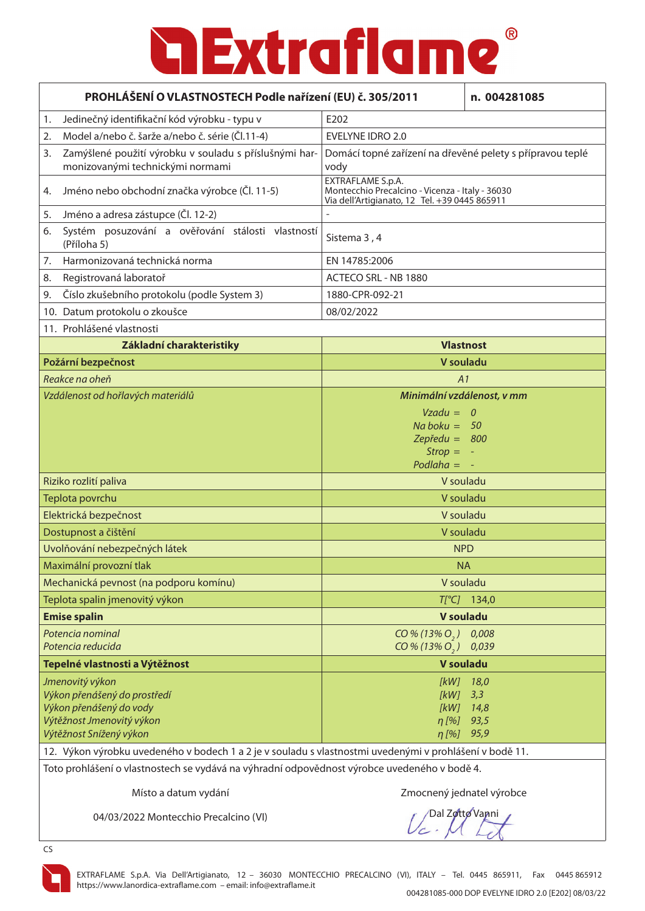|    | PROHLÁŠENÍ O VLASTNOSTECH Podle nařízení (EU) č. 305/2011                                                                          |                                                                                                                       | n. 004281085                        |
|----|------------------------------------------------------------------------------------------------------------------------------------|-----------------------------------------------------------------------------------------------------------------------|-------------------------------------|
| 1. | Jedinečný identifikační kód výrobku - typu v                                                                                       | E202                                                                                                                  |                                     |
| 2. | Model a/nebo č. šarže a/nebo č. série (Čl.11-4)                                                                                    | <b>EVELYNE IDRO 2.0</b>                                                                                               |                                     |
| 3. | Zamýšlené použití výrobku v souladu s příslušnými har-<br>monizovanými technickými normami                                         | Domácí topné zařízení na dřevěné pelety s přípravou teplé<br>vody                                                     |                                     |
| 4. | Jméno nebo obchodní značka výrobce (Čl. 11-5)                                                                                      | EXTRAFLAME S.p.A.<br>Montecchio Precalcino - Vicenza - Italy - 36030<br>Via dell'Artigianato, 12 Tel. +39 0445 865911 |                                     |
| 5. | Jméno a adresa zástupce (Čl. 12-2)                                                                                                 |                                                                                                                       |                                     |
| 6. | Systém posuzování a ověřování stálosti vlastností<br>(Příloha 5)                                                                   | Sistema 3, 4                                                                                                          |                                     |
| 7. | Harmonizovaná technická norma                                                                                                      | EN 14785:2006                                                                                                         |                                     |
| 8. | Registrovaná laboratoř                                                                                                             | ACTECO SRL - NB 1880                                                                                                  |                                     |
| 9. | Číslo zkušebního protokolu (podle System 3)                                                                                        | 1880-CPR-092-21                                                                                                       |                                     |
|    | 10. Datum protokolu o zkoušce                                                                                                      | 08/02/2022                                                                                                            |                                     |
|    | 11. Prohlášené vlastnosti                                                                                                          |                                                                                                                       |                                     |
|    | Základní charakteristiky                                                                                                           | <b>Vlastnost</b>                                                                                                      |                                     |
|    | Požární bezpečnost                                                                                                                 | V souladu                                                                                                             |                                     |
|    | Reakce na oheň                                                                                                                     | A1                                                                                                                    |                                     |
|    | Vzdálenost od hořlavých materiálů                                                                                                  | Minimální vzdálenost, v mm                                                                                            |                                     |
|    |                                                                                                                                    | $Vzadu = 0$<br>$Na$ boku = 50<br>Zepředu = $800$<br>$Strong =$<br>Podlaha $=$                                         |                                     |
|    | Riziko rozlití paliva                                                                                                              | V souladu                                                                                                             |                                     |
|    | Teplota povrchu                                                                                                                    | V souladu                                                                                                             |                                     |
|    | Elektrická bezpečnost                                                                                                              | V souladu                                                                                                             |                                     |
|    | Dostupnost a čištění                                                                                                               | V souladu                                                                                                             |                                     |
|    | Uvolňování nebezpečných látek                                                                                                      | <b>NPD</b>                                                                                                            |                                     |
|    | Maximální provozní tlak                                                                                                            | <b>NA</b>                                                                                                             |                                     |
|    | Mechanická pevnost (na podporu komínu)                                                                                             | V souladu                                                                                                             |                                     |
|    | Teplota spalin jmenovitý výkon                                                                                                     |                                                                                                                       | $T[^{\circ}C]$ 134,0                |
|    | <b>Emise spalin</b>                                                                                                                | <b>V</b> souladu                                                                                                      |                                     |
|    | Potencia nominal<br>Potencia reducida                                                                                              | $CO\% (13\% O_{2})$<br>$CO\% (13\% O, )$                                                                              | 0,008<br>0,039                      |
|    | Tepelné vlastnosti a Výtěžnost                                                                                                     | <b>V</b> souladu                                                                                                      |                                     |
|    | Jmenovitý výkon<br>Výkon přenášený do prostředí<br>Výkon přenášený do vody<br>Výtěžnost Jmenovitý výkon<br>Výtěžnost Snížený výkon | [kW]<br>[kW]<br>[kW]<br>$\eta$ [%]<br>$\eta$ [%]                                                                      | 18,0<br>3,3<br>14,8<br>93,5<br>95,9 |
|    | 12. Výkon výrobku uvedeného v bodech 1 a 2 je v souladu s vlastnostmi uvedenými v prohlášení v bodě 11.                            |                                                                                                                       |                                     |

Toto prohlášení o vlastnostech se vydává na výhradní odpovědnost výrobce uvedeného v bodě 4.

Místo a datum vydání za nesto za nesto za zahladené za zmocnený jednatel výrobce

04/03/2022 Montecchio Precalcino (VI)

Dal Zotto Vanni



CS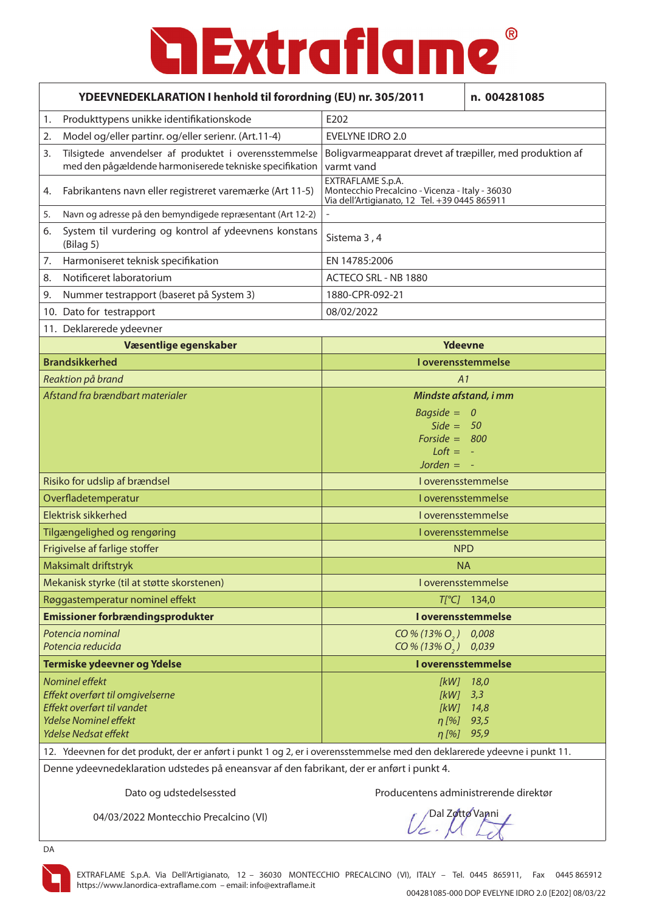| YDEEVNEDEKLARATION I henhold til forordning (EU) nr. 305/2011<br>n. 004281085 |                                                                                                                           |                                                                                                                       |                          |
|-------------------------------------------------------------------------------|---------------------------------------------------------------------------------------------------------------------------|-----------------------------------------------------------------------------------------------------------------------|--------------------------|
| 1.                                                                            | Produkttypens unikke identifikationskode                                                                                  | E202                                                                                                                  |                          |
| 2.                                                                            | Model og/eller partinr. og/eller serienr. (Art.11-4)                                                                      | EVELYNE IDRO 2.0                                                                                                      |                          |
| 3.                                                                            | Tilsigtede anvendelser af produktet i overensstemmelse<br>med den pågældende harmoniserede tekniske specifikation         | Boligvarmeapparat drevet af træpiller, med produktion af<br>varmt vand                                                |                          |
| 4.                                                                            | Fabrikantens navn eller registreret varemærke (Art 11-5)                                                                  | EXTRAFLAME S.p.A.<br>Montecchio Precalcino - Vicenza - Italy - 36030<br>Via dell'Artigianato, 12 Tel. +39 0445 865911 |                          |
| 5.                                                                            | Navn og adresse på den bemyndigede repræsentant (Art 12-2)                                                                |                                                                                                                       |                          |
| 6.                                                                            | System til vurdering og kontrol af ydeevnens konstans<br>(Bilag <sub>5</sub> )                                            | Sistema 3, 4                                                                                                          |                          |
| 7.                                                                            | Harmoniseret teknisk specifikation                                                                                        | EN 14785:2006                                                                                                         |                          |
| 8.                                                                            | Notificeret laboratorium                                                                                                  | ACTECO SRL - NB 1880                                                                                                  |                          |
| 9.                                                                            | Nummer testrapport (baseret på System 3)                                                                                  | 1880-CPR-092-21                                                                                                       |                          |
|                                                                               | 10. Dato for testrapport                                                                                                  | 08/02/2022                                                                                                            |                          |
|                                                                               | 11. Deklarerede ydeevner                                                                                                  |                                                                                                                       |                          |
|                                                                               | Væsentlige egenskaber                                                                                                     | Ydeevne                                                                                                               |                          |
|                                                                               | <b>Brandsikkerhed</b>                                                                                                     |                                                                                                                       | I overensstemmelse       |
|                                                                               | Reaktion på brand                                                                                                         | A1                                                                                                                    |                          |
|                                                                               | Afstand fra brændbart materialer                                                                                          | Mindste afstand, i mm                                                                                                 |                          |
|                                                                               |                                                                                                                           | $Bagside =$                                                                                                           | $\overline{\phantom{a}}$ |
|                                                                               |                                                                                                                           | $Side = 50$                                                                                                           |                          |
|                                                                               |                                                                                                                           | Forside = $800$<br>$Loft = -$                                                                                         |                          |
|                                                                               |                                                                                                                           | Jorden $= -$                                                                                                          |                          |
| Risiko for udslip af brændsel                                                 |                                                                                                                           |                                                                                                                       | I overensstemmelse       |
|                                                                               | Overfladetemperatur                                                                                                       |                                                                                                                       | I overensstemmelse       |
|                                                                               | Elektrisk sikkerhed                                                                                                       |                                                                                                                       | I overensstemmelse       |
|                                                                               | Tilgængelighed og rengøring                                                                                               |                                                                                                                       | I overensstemmelse       |
|                                                                               | Frigivelse af farlige stoffer                                                                                             |                                                                                                                       | <b>NPD</b>               |
|                                                                               | Maksimalt driftstryk                                                                                                      | <b>NA</b>                                                                                                             |                          |
|                                                                               | Mekanisk styrke (til at støtte skorstenen)                                                                                |                                                                                                                       | I overensstemmelse       |
|                                                                               | Røggastemperatur nominel effekt                                                                                           |                                                                                                                       | $T[^{\circ}C]$ 134,0     |
|                                                                               | <b>Emissioner forbrændingsprodukter</b>                                                                                   |                                                                                                                       | I overensstemmelse       |
|                                                                               | Potencia nominal                                                                                                          | $CO\% (13\% O, )$                                                                                                     | 0,008                    |
|                                                                               | Potencia reducida                                                                                                         | $CO\% (13\% O_{2})$                                                                                                   | 0,039                    |
| Termiske ydeevner og Ydelse                                                   |                                                                                                                           |                                                                                                                       | I overensstemmelse       |
|                                                                               | Nominel effekt                                                                                                            | [kW]                                                                                                                  | 18,0                     |
|                                                                               | Effekt overført til omgivelserne                                                                                          | [kW]                                                                                                                  | 3,3                      |
|                                                                               | Effekt overført til vandet<br><b>Ydelse Nominel effekt</b>                                                                | [kW]<br>$\eta$ [%]                                                                                                    | 14,8<br>93,5             |
|                                                                               | Ydelse Nedsat effekt                                                                                                      | $\eta$ [%]                                                                                                            | 95,9                     |
|                                                                               | 12. Ydeevnen for det produkt, der er anført i punkt 1 og 2, er i overensstemmelse med den deklarerede ydeevne i punkt 11. |                                                                                                                       |                          |

Denne ydeevnedeklaration udstedes på eneansvar af den fabrikant, der er anført i punkt 4.

Dato og udstedelsessted Producentens administrerende direktør

04/03/2022 Montecchio Precalcino (VI)

Dal Zotto Vanni

DA

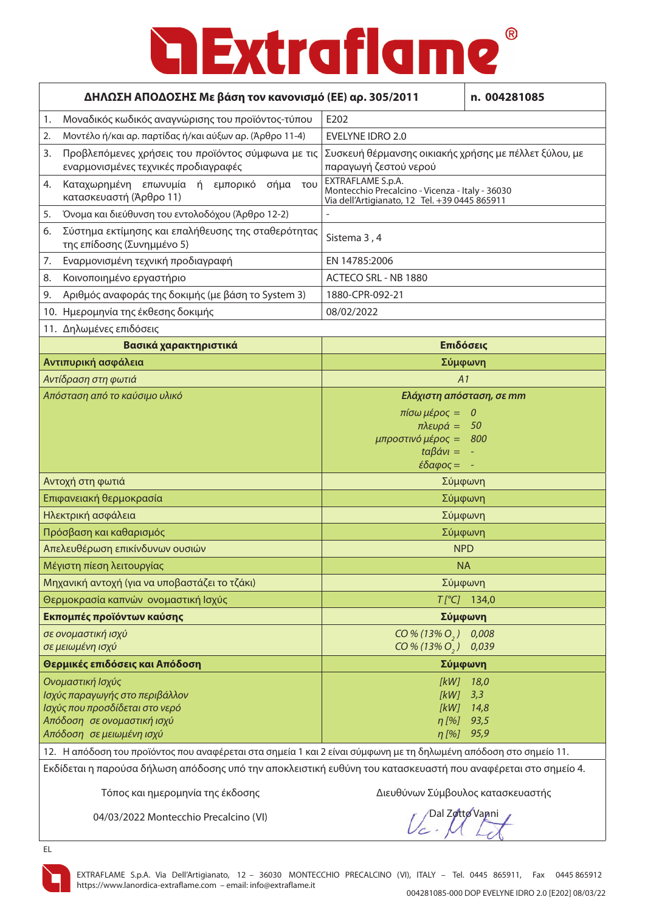### $^{\circledR}$ **a Extraflame**

| ΔΗΛΩΣΗ ΑΠΟΔΟΣΗΣ Με βάση τον κανονισμό (ΕΕ) αρ. 305/2011<br>n. 004281085                                                                                                                                                                                             |                                                                                                                       |                                            |
|---------------------------------------------------------------------------------------------------------------------------------------------------------------------------------------------------------------------------------------------------------------------|-----------------------------------------------------------------------------------------------------------------------|--------------------------------------------|
| Μοναδικός κωδικός αναγνώρισης του προϊόντος-τύπου<br>1.                                                                                                                                                                                                             | E202                                                                                                                  |                                            |
| Μοντέλο ή/και αρ. παρτίδας ή/και αύξων αρ. (Άρθρο 11-4)<br>2.                                                                                                                                                                                                       | <b>EVELYNE IDRO 2.0</b>                                                                                               |                                            |
| Προβλεπόμενες χρήσεις του προϊόντος σύμφωνα με τις<br>3.<br>εναρμονισμένες τεχνικές προδιαγραφές                                                                                                                                                                    | Συσκευή θέρμανσης οικιακής χρήσης με πέλλετ ξύλου, με<br>παραγωγή ζεστού νερού                                        |                                            |
| Καταχωρημένη επωνυμία ή εμπορικό σήμα του<br>4.<br>κατασκευαστή (Άρθρο 11)                                                                                                                                                                                          | EXTRAFLAME S.p.A.<br>Montecchio Precalcino - Vicenza - Italy - 36030<br>Via dell'Artigianato, 12 Tel. +39 0445 865911 |                                            |
| Όνομα και διεύθυνση του εντολοδόχου (Άρθρο 12-2)<br>5.                                                                                                                                                                                                              |                                                                                                                       |                                            |
| Σύστημα εκτίμησης και επαλήθευσης της σταθερότητας<br>6.<br>της επίδοσης (Συνημμένο 5)                                                                                                                                                                              | Sistema 3, 4                                                                                                          |                                            |
| Εναρμονισμένη τεχνική προδιαγραφή<br>7.                                                                                                                                                                                                                             | EN 14785:2006                                                                                                         |                                            |
| Κοινοποιημένο εργαστήριο<br>8.                                                                                                                                                                                                                                      | ACTECO SRL - NB 1880                                                                                                  |                                            |
| Αριθμός αναφοράς της δοκιμής (με βάση το System 3)<br>9.                                                                                                                                                                                                            | 1880-CPR-092-21                                                                                                       |                                            |
| 10. Ημερομηνία της έκθεσης δοκιμής                                                                                                                                                                                                                                  | 08/02/2022                                                                                                            |                                            |
| 11. Δηλωμένες επιδόσεις                                                                                                                                                                                                                                             |                                                                                                                       |                                            |
| Βασικά χαρακτηριστικά                                                                                                                                                                                                                                               | Επιδόσεις                                                                                                             |                                            |
| Αντιπυρική ασφάλεια                                                                                                                                                                                                                                                 | Σύμφωνη                                                                                                               |                                            |
| Αντίδραση στη φωτιά                                                                                                                                                                                                                                                 | A1                                                                                                                    |                                            |
| Απόσταση από το καύσιμο υλικό                                                                                                                                                                                                                                       | Ελάχιστη απόσταση, σε mm                                                                                              |                                            |
|                                                                                                                                                                                                                                                                     | πίσω μέρος =<br>$πλευρά =$<br>μπροστινό μέρος =<br>$\frac{\partial}{\partial \alpha}$<br>$\epsilon$ δαφος =           | $\boldsymbol{o}$<br>50<br>800              |
| Αντοχή στη φωτιά                                                                                                                                                                                                                                                    | Σύμφωνη                                                                                                               |                                            |
| Επιφανειακή θερμοκρασία                                                                                                                                                                                                                                             | Σύμφωνη                                                                                                               |                                            |
| Ηλεκτρική ασφάλεια                                                                                                                                                                                                                                                  | Σύμφωνη                                                                                                               |                                            |
| Πρόσβαση και καθαρισμός                                                                                                                                                                                                                                             | Σύμφωνη                                                                                                               |                                            |
| Απελευθέρωση επικίνδυνων ουσιών                                                                                                                                                                                                                                     | <b>NPD</b>                                                                                                            |                                            |
| Μέγιστη πίεση λειτουργίας                                                                                                                                                                                                                                           | <b>NA</b>                                                                                                             |                                            |
| Μηχανική αντοχή (για να υποβαστάζει το τζάκι)                                                                                                                                                                                                                       | Σύμφωνη                                                                                                               |                                            |
| Θερμοκρασία καπνών ονομαστική Ισχύς                                                                                                                                                                                                                                 |                                                                                                                       | $T[^{\circ}C]$ 134,0                       |
| Εκπομπές προϊόντων καύσης                                                                                                                                                                                                                                           | Σύμφωνη                                                                                                               |                                            |
| σε ονομαστική ισχύ<br>σε μειωμένη ισχύ                                                                                                                                                                                                                              | $CO\% (13\% O, 0 0,008)$<br>CO % (13% O <sub>2</sub> ) 0,039                                                          |                                            |
| Θερμικές επιδόσεις και Απόδοση                                                                                                                                                                                                                                      | Σύμφωνη                                                                                                               |                                            |
| Ονομαστική Ισχύς<br>Ισχύς παραγωγής στο περιβάλλον<br>Ισχύς που προσδίδεται στο νερό<br>Απόδοση σε ονομαστική ισχύ<br>Απόδοση σε μειωμένη ισχύ<br>12. Η απόδοση του προϊόντος που αναφέρεται στα σημεία 1 και 2 είναι σύμφωνη με τη δηλωμένη απόδοση στο σημείο 11. | [kW]<br>[kW]<br>$\eta$ [%]<br>$\eta$ [%]                                                                              | $[KW]$ 18,0<br>3,3<br>14,8<br>93,5<br>95,9 |

Εκδίδεται η παρούσα δήλωση απόδοσης υπό την αποκλειστική ευθύνη του κατασκευαστή που αναφέρεται στο σημείο 4.

Τόπος και ημερομηνία της έκδοσης Διευθύνων Σύμβουλος κατασκευαστής

04/03/2022 Montecchio Precalcino (VI)

Dal Zotto Vanni



EL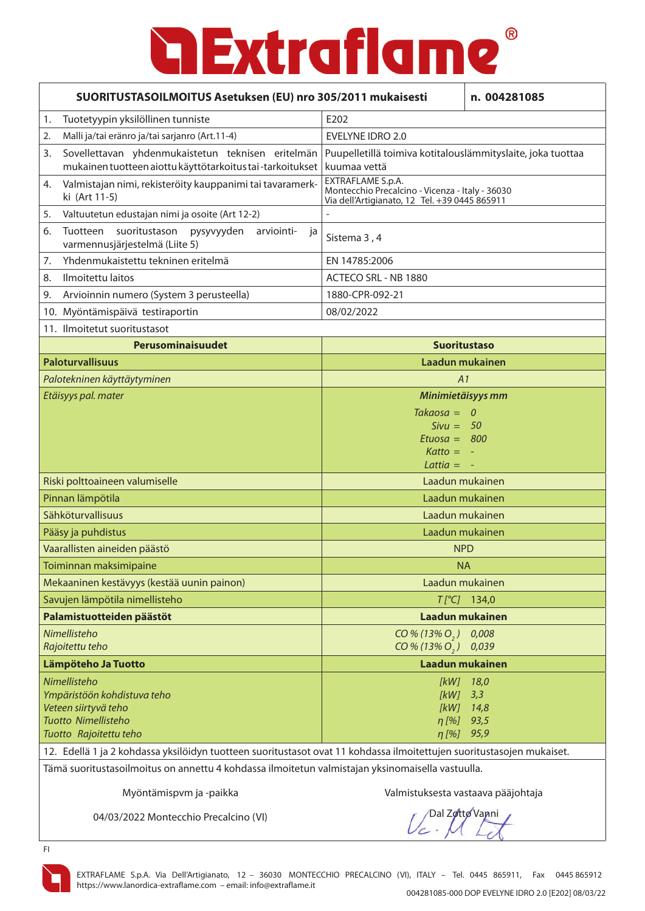|                                                                                                                       | SUORITUSTASOILMOITUS Asetuksen (EU) nro 305/2011 mukaisesti                                                    |                                                                                                                       | n. 004281085         |
|-----------------------------------------------------------------------------------------------------------------------|----------------------------------------------------------------------------------------------------------------|-----------------------------------------------------------------------------------------------------------------------|----------------------|
| 1.                                                                                                                    | Tuotetyypin yksilöllinen tunniste                                                                              | E202                                                                                                                  |                      |
| 2.                                                                                                                    | Malli ja/tai eränro ja/tai sarjanro (Art.11-4)                                                                 | <b>EVELYNE IDRO 2.0</b>                                                                                               |                      |
| 3.                                                                                                                    | Sovellettavan yhdenmukaistetun teknisen eritelmän<br>mukainen tuotteen aiottu käyttötarkoitus tai-tarkoitukset | Puupelletillä toimiva kotitalouslämmityslaite, joka tuottaa<br>kuumaa vettä                                           |                      |
| 4.                                                                                                                    | Valmistajan nimi, rekisteröity kauppanimi tai tavaramerk-<br>ki (Art 11-5)                                     | EXTRAFLAME S.p.A.<br>Montecchio Precalcino - Vicenza - Italy - 36030<br>Via dell'Artigianato, 12 Tel. +39 0445 865911 |                      |
| 5.                                                                                                                    | Valtuutetun edustajan nimi ja osoite (Art 12-2)                                                                |                                                                                                                       |                      |
| 6.                                                                                                                    | suoritustason pysyvyyden<br>Tuotteen<br>arviointi-<br>ja<br>varmennusjärjestelmä (Liite 5)                     | Sistema 3, 4                                                                                                          |                      |
| 7.                                                                                                                    | Yhdenmukaistettu tekninen eritelmä                                                                             | EN 14785:2006                                                                                                         |                      |
| 8.                                                                                                                    | Ilmoitettu laitos                                                                                              | ACTECO SRL - NB 1880                                                                                                  |                      |
| 9.                                                                                                                    | Arvioinnin numero (System 3 perusteella)                                                                       | 1880-CPR-092-21                                                                                                       |                      |
|                                                                                                                       | 10. Myöntämispäivä testiraportin                                                                               | 08/02/2022                                                                                                            |                      |
|                                                                                                                       | 11. Ilmoitetut suoritustasot                                                                                   |                                                                                                                       |                      |
|                                                                                                                       | Perusominaisuudet                                                                                              | <b>Suoritustaso</b>                                                                                                   |                      |
|                                                                                                                       | <b>Paloturvallisuus</b>                                                                                        | Laadun mukainen                                                                                                       |                      |
|                                                                                                                       | Palotekninen käyttäytyminen                                                                                    | A1                                                                                                                    |                      |
|                                                                                                                       | Etäisyys pal. mater                                                                                            | Minimietäisyys mm                                                                                                     |                      |
|                                                                                                                       |                                                                                                                | $Takaosa = 0$                                                                                                         |                      |
|                                                                                                                       |                                                                                                                | $Sivu = 50$                                                                                                           |                      |
|                                                                                                                       |                                                                                                                | Etuosa = $800$<br>$Katto = -$                                                                                         |                      |
|                                                                                                                       |                                                                                                                | Lattia $= -$                                                                                                          |                      |
| Riski polttoaineen valumiselle                                                                                        |                                                                                                                | Laadun mukainen                                                                                                       |                      |
| Pinnan lämpötila                                                                                                      |                                                                                                                | Laadun mukainen                                                                                                       |                      |
|                                                                                                                       | Sähköturvallisuus                                                                                              | Laadun mukainen                                                                                                       |                      |
|                                                                                                                       | Pääsy ja puhdistus                                                                                             | Laadun mukainen                                                                                                       |                      |
|                                                                                                                       | Vaarallisten aineiden päästö                                                                                   | <b>NPD</b>                                                                                                            |                      |
|                                                                                                                       | Toiminnan maksimipaine                                                                                         | <b>NA</b>                                                                                                             |                      |
|                                                                                                                       | Mekaaninen kestävyys (kestää uunin painon)                                                                     |                                                                                                                       | Laadun mukainen      |
|                                                                                                                       | Savujen lämpötila nimellisteho                                                                                 |                                                                                                                       | $T[^{\circ}C]$ 134,0 |
|                                                                                                                       | Palamistuotteiden päästöt                                                                                      |                                                                                                                       | Laadun mukainen      |
|                                                                                                                       | Nimellisteho<br>Rajoitettu teho                                                                                | $CO\% (13\% O_{2})$<br>$CO\% (13\% O_{2})$                                                                            | 0,008<br>0,039       |
| Lämpöteho Ja Tuotto                                                                                                   |                                                                                                                |                                                                                                                       | Laadun mukainen      |
|                                                                                                                       | Nimellisteho                                                                                                   |                                                                                                                       | [kW] 18,0            |
|                                                                                                                       | Ympäristöön kohdistuva teho                                                                                    | $[kW]$ 3,3                                                                                                            |                      |
|                                                                                                                       | Veteen siirtyvä teho<br>Tuotto Nimellisteho                                                                    |                                                                                                                       | $[KW]$ 14,8          |
|                                                                                                                       | Tuotto Rajoitettu teho                                                                                         | $\eta$ [%]<br>n [%] 95,9                                                                                              | 93,5                 |
| 12. Edellä 1 ja 2 kohdassa yksilöidyn tuotteen suoritustasot ovat 11 kohdassa ilmoitettujen suoritustasojen mukaiset. |                                                                                                                |                                                                                                                       |                      |

Tämä suoritustasoilmoitus on annettu 4 kohdassa ilmoitetun valmistajan yksinomaisella vastuulla.

Myöntämispvm ja -paikka Valmistuksesta vastaava pääjohtaja

04/03/2022 Montecchio Precalcino (VI)

Dal Zotto Vanni

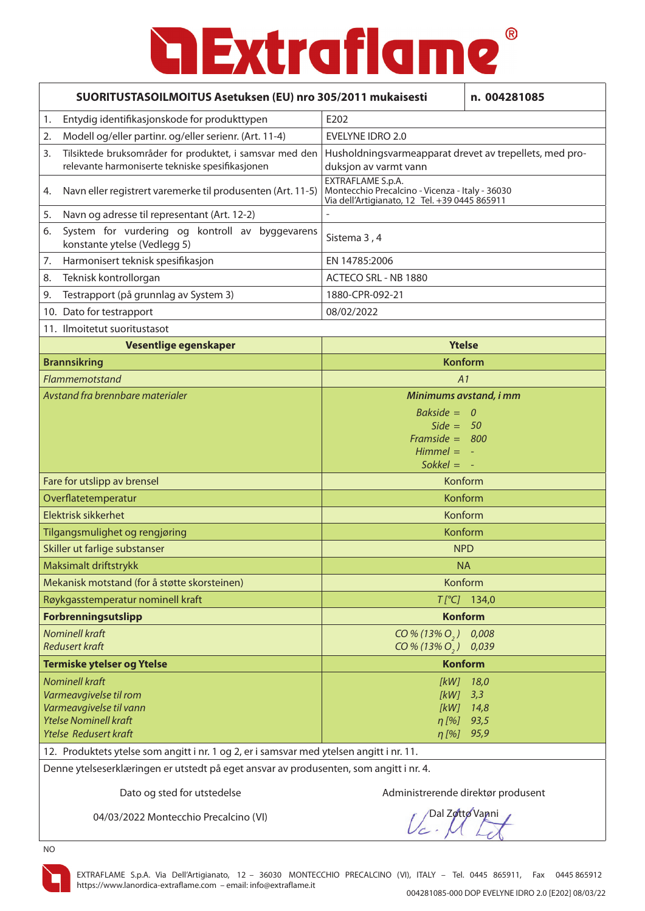### $\odot$ **a Extraflame**

| SUORITUSTASOILMOITUS Asetuksen (EU) nro 305/2011 mukaisesti                                                                                |                                                                                                                       | n. 004281085                        |
|--------------------------------------------------------------------------------------------------------------------------------------------|-----------------------------------------------------------------------------------------------------------------------|-------------------------------------|
| Entydig identifikasjonskode for produkttypen<br>1.                                                                                         | E202                                                                                                                  |                                     |
| Modell og/eller partinr. og/eller serienr. (Art. 11-4)<br>2.                                                                               | <b>EVELYNE IDRO 2.0</b>                                                                                               |                                     |
| Tilsiktede bruksområder for produktet, i samsvar med den<br>3.<br>relevante harmoniserte tekniske spesifikasjonen                          | Husholdningsvarmeapparat drevet av trepellets, med pro-<br>duksjon av varmt vann                                      |                                     |
| Navn eller registrert varemerke til produsenten (Art. 11-5)<br>4.                                                                          | EXTRAFLAME S.p.A.<br>Montecchio Precalcino - Vicenza - Italy - 36030<br>Via dell'Artigianato, 12 Tel. +39 0445 865911 |                                     |
| Navn og adresse til representant (Art. 12-2)<br>5.                                                                                         |                                                                                                                       |                                     |
| System for vurdering og kontroll av byggevarens<br>6.<br>konstante ytelse (Vedlegg 5)                                                      | Sistema 3, 4                                                                                                          |                                     |
| Harmonisert teknisk spesifikasjon<br>7.                                                                                                    | EN 14785:2006                                                                                                         |                                     |
| Teknisk kontrollorgan<br>8.                                                                                                                | ACTECO SRL - NB 1880                                                                                                  |                                     |
| Testrapport (på grunnlag av System 3)<br>9.                                                                                                | 1880-CPR-092-21                                                                                                       |                                     |
| 10. Dato for testrapport                                                                                                                   | 08/02/2022                                                                                                            |                                     |
| 11. Ilmoitetut suoritustasot                                                                                                               |                                                                                                                       |                                     |
| Vesentlige egenskaper                                                                                                                      | <b>Ytelse</b>                                                                                                         |                                     |
| <b>Brannsikring</b>                                                                                                                        |                                                                                                                       | <b>Konform</b>                      |
| Flammemotstand                                                                                                                             | A1                                                                                                                    |                                     |
| Avstand fra brennbare materialer                                                                                                           | Minimums avstand, i mm                                                                                                |                                     |
|                                                                                                                                            | Bakside = $0$<br>Side = $50$<br>Framside = $800$<br>$Himmel = -$                                                      |                                     |
|                                                                                                                                            | $Sokkel = -$                                                                                                          |                                     |
| Fare for utslipp av brensel                                                                                                                | Konform                                                                                                               |                                     |
| Overflatetemperatur                                                                                                                        | Konform                                                                                                               |                                     |
| Elektrisk sikkerhet                                                                                                                        | Konform                                                                                                               |                                     |
| Tilgangsmulighet og rengjøring                                                                                                             | Konform                                                                                                               |                                     |
| Skiller ut farlige substanser                                                                                                              | <b>NPD</b>                                                                                                            |                                     |
| Maksimalt driftstrykk                                                                                                                      | <b>NA</b>                                                                                                             |                                     |
| Mekanisk motstand (for å støtte skorsteinen)                                                                                               | Konform                                                                                                               |                                     |
| Røykgasstemperatur nominell kraft                                                                                                          |                                                                                                                       | $T[^{\circ}C]$ 134,0                |
| Forbrenningsutslipp                                                                                                                        | <b>Konform</b>                                                                                                        |                                     |
| <b>Nominell kraft</b><br><b>Redusert kraft</b>                                                                                             | $CO\% (13\% O, )$<br>$CO\% (13\% O, )$                                                                                | 0,008<br>0,039                      |
| Termiske ytelser og Ytelse                                                                                                                 | <b>Konform</b>                                                                                                        |                                     |
| <b>Nominell kraft</b><br>Varmeavgivelse til rom<br>Varmeavgivelse til vann<br><b>Ytelse Nominell kraft</b><br><b>Ytelse Redusert kraft</b> | [kW]<br>[KW]<br>[kW]<br>$\eta$ [%]<br>$\eta$ [%]                                                                      | 18,0<br>3,3<br>14,8<br>93,5<br>95,9 |
| 12. Produktets ytelse som angitt i nr. 1 og 2, er i samsvar med ytelsen angitt i nr. 11.                                                   |                                                                                                                       |                                     |

Denne ytelseserklæringen er utstedt på eget ansvar av produsenten, som angitt i nr. 4.

Dato og sted for utstedelse Administrerende direktør produsent

04/03/2022 Montecchio Precalcino (VI)

Dal Zotto Vanni

NO

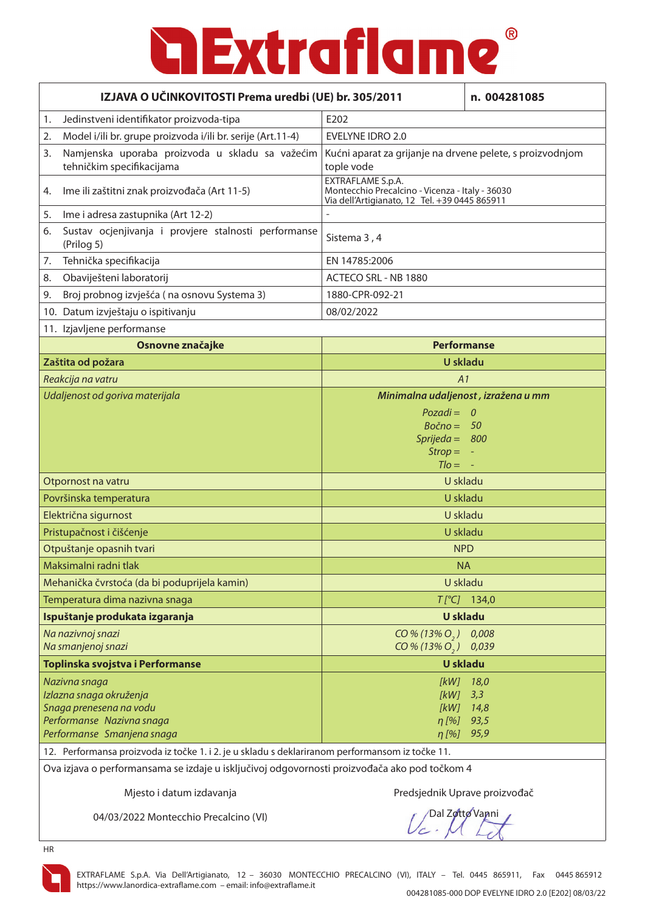| IZJAVA O UČINKOVITOSTI Prema uredbi (UE) br. 305/2011                                           |                                                                                                                       | n. 004281085                        |
|-------------------------------------------------------------------------------------------------|-----------------------------------------------------------------------------------------------------------------------|-------------------------------------|
| Jedinstveni identifikator proizvoda-tipa<br>1.                                                  | E202                                                                                                                  |                                     |
| Model i/ili br. grupe proizvoda i/ili br. serije (Art.11-4)<br>2.                               | <b>EVELYNE IDRO 2.0</b>                                                                                               |                                     |
| Namjenska uporaba proizvoda u skladu sa važećim<br>3.<br>tehničkim specifikacijama              | Kućni aparat za grijanje na drvene pelete, s proizvodnjom<br>tople vode                                               |                                     |
| Ime ili zaštitni znak proizvođača (Art 11-5)<br>4.                                              | EXTRAFLAME S.p.A.<br>Montecchio Precalcino - Vicenza - Italy - 36030<br>Via dell'Artigianato, 12 Tel. +39 0445 865911 |                                     |
| Ime i adresa zastupnika (Art 12-2)<br>5.                                                        |                                                                                                                       |                                     |
| Sustav ocjenjivanja i provjere stalnosti performanse<br>6.<br>(Prilog 5)                        | Sistema 3, 4                                                                                                          |                                     |
| Tehnička specifikacija<br>7.                                                                    | EN 14785:2006                                                                                                         |                                     |
| Obaviješteni laboratorij<br>8.                                                                  | ACTECO SRL - NB 1880                                                                                                  |                                     |
| Broj probnog izvješća (na osnovu Systema 3)<br>9.                                               | 1880-CPR-092-21                                                                                                       |                                     |
| 10. Datum izvještaju o ispitivanju                                                              | 08/02/2022                                                                                                            |                                     |
| 11. Izjavljene performanse                                                                      |                                                                                                                       |                                     |
| Osnovne značajke                                                                                |                                                                                                                       | <b>Performanse</b>                  |
| Zaštita od požara                                                                               |                                                                                                                       | U skladu                            |
| Reakcija na vatru                                                                               | A1                                                                                                                    |                                     |
| Udaljenost od goriva materijala                                                                 |                                                                                                                       | Minimalna udaljenost, izražena u mm |
|                                                                                                 | $Pozadi = 0$<br>$Bočno = 50$<br>Sprijeda = $800$<br>$Strop =$<br>$TIO =$                                              |                                     |
| Otpornost na vatru                                                                              |                                                                                                                       | U skladu                            |
| Površinska temperatura                                                                          |                                                                                                                       | U skladu                            |
| Električna sigurnost                                                                            |                                                                                                                       | U skladu                            |
| Pristupačnost i čišćenje                                                                        | U skladu                                                                                                              |                                     |
| Otpuštanje opasnih tvari                                                                        |                                                                                                                       | <b>NPD</b>                          |
| Maksimalni radni tlak                                                                           |                                                                                                                       | <b>NA</b>                           |
| Mehanička čvrstoća (da bi poduprijela kamin)                                                    |                                                                                                                       | U skladu                            |
| Temperatura dima nazivna snaga                                                                  |                                                                                                                       | $T[^{\circ}C]$ 134,0                |
| Ispuštanje produkata izgaranja                                                                  |                                                                                                                       | <b>U</b> skladu                     |
| Na nazivnoj snazi                                                                               | $CO\% (13\% O, )$                                                                                                     | 0,008                               |
| Na smanjenoj snazi                                                                              | $CO\% (13\% O_{2})$                                                                                                   | 0,039                               |
| Toplinska svojstva i Performanse                                                                |                                                                                                                       | <b>U</b> skladu                     |
| Nazivna snaga                                                                                   | [kW]                                                                                                                  | 18,0                                |
| Izlazna snaga okruženja                                                                         | [kW]                                                                                                                  | 3,3                                 |
| Snaga prenesena na vodu<br>Performanse Nazivna snaga                                            | [kW]<br>$\eta$ [%]                                                                                                    | 14,8<br>93,5                        |
| Performanse Smanjena snaga                                                                      | $\eta$ [%]                                                                                                            | 95,9                                |
| 12. Performansa proizvoda iz točke 1. i 2. je u skladu s deklariranom performansom iz točke 11. |                                                                                                                       |                                     |

Ova izjava o performansama se izdaje u isključivoj odgovornosti proizvođača ako pod točkom 4

Mjesto i datum izdavanja **Avan izmesto i objektorila na vrhijesto** Predsjednik Uprave proizvođač

04/03/2022 Montecchio Precalcino (VI)

Dal Zotto Vanni

HR

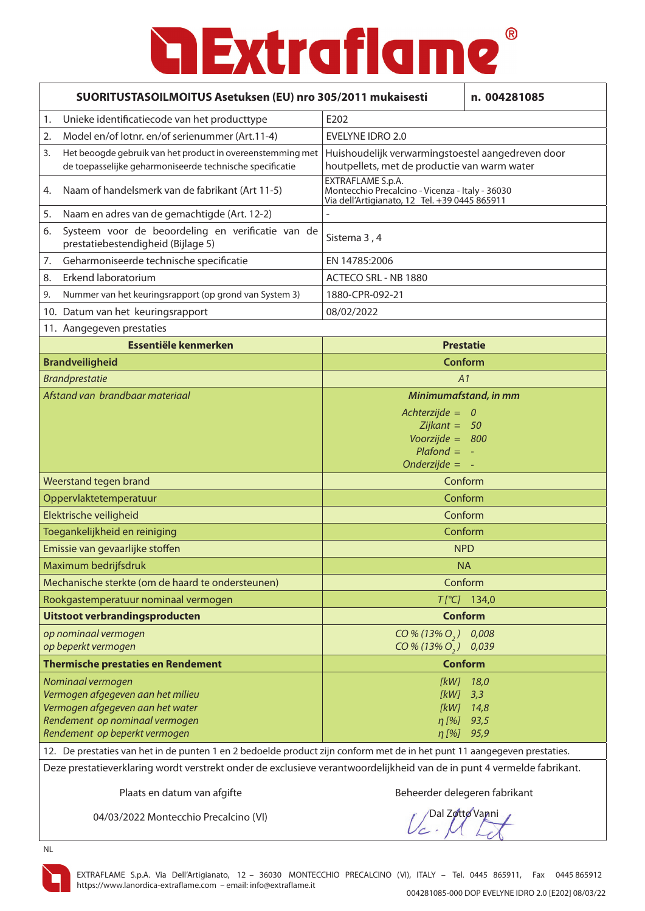| SUORITUSTASOILMOITUS Asetuksen (EU) nro 305/2011 mukaisesti<br>n. 004281085                                                                                                                                                                                                                                                                                                      |                                                                                                                       |  |
|----------------------------------------------------------------------------------------------------------------------------------------------------------------------------------------------------------------------------------------------------------------------------------------------------------------------------------------------------------------------------------|-----------------------------------------------------------------------------------------------------------------------|--|
| Unieke identificatiecode van het producttype<br>1.                                                                                                                                                                                                                                                                                                                               | E202                                                                                                                  |  |
| Model en/of lotnr. en/of serienummer (Art.11-4)<br>2.                                                                                                                                                                                                                                                                                                                            | <b>EVELYNE IDRO 2.0</b>                                                                                               |  |
| Het beoogde gebruik van het product in overeenstemming met<br>3.<br>de toepasselijke geharmoniseerde technische specificatie                                                                                                                                                                                                                                                     | Huishoudelijk verwarmingstoestel aangedreven door<br>houtpellets, met de productie van warm water                     |  |
| Naam of handelsmerk van de fabrikant (Art 11-5)<br>4.                                                                                                                                                                                                                                                                                                                            | EXTRAFLAME S.p.A.<br>Montecchio Precalcino - Vicenza - Italy - 36030<br>Via dell'Artigianato, 12 Tel. +39 0445 865911 |  |
| Naam en adres van de gemachtigde (Art. 12-2)<br>5.                                                                                                                                                                                                                                                                                                                               |                                                                                                                       |  |
| Systeem voor de beoordeling en verificatie van de<br>6.<br>prestatiebestendigheid (Bijlage 5)                                                                                                                                                                                                                                                                                    | Sistema 3, 4                                                                                                          |  |
| Geharmoniseerde technische specificatie<br>7.                                                                                                                                                                                                                                                                                                                                    | EN 14785:2006                                                                                                         |  |
| Erkend laboratorium<br>8.                                                                                                                                                                                                                                                                                                                                                        | ACTECO SRL - NB 1880                                                                                                  |  |
| Nummer van het keuringsrapport (op grond van System 3)<br>9.                                                                                                                                                                                                                                                                                                                     | 1880-CPR-092-21                                                                                                       |  |
| 10. Datum van het keuringsrapport                                                                                                                                                                                                                                                                                                                                                | 08/02/2022                                                                                                            |  |
| 11. Aangegeven prestaties                                                                                                                                                                                                                                                                                                                                                        |                                                                                                                       |  |
| Essentiële kenmerken                                                                                                                                                                                                                                                                                                                                                             | <b>Prestatie</b>                                                                                                      |  |
| <b>Brandveiligheid</b>                                                                                                                                                                                                                                                                                                                                                           | <b>Conform</b>                                                                                                        |  |
| <b>Brandprestatie</b>                                                                                                                                                                                                                                                                                                                                                            | A1                                                                                                                    |  |
| Afstand van brandbaar materiaal                                                                                                                                                                                                                                                                                                                                                  | Minimumafstand, in mm                                                                                                 |  |
|                                                                                                                                                                                                                                                                                                                                                                                  | Achterzijde = $0$<br>$Zijkant = 50$<br>Voorzijde = $800$<br>$Plafond = -$<br>$Onderzijde =$                           |  |
| Weerstand tegen brand                                                                                                                                                                                                                                                                                                                                                            | Conform                                                                                                               |  |
| Oppervlaktetemperatuur                                                                                                                                                                                                                                                                                                                                                           | Conform                                                                                                               |  |
| Elektrische veiligheid                                                                                                                                                                                                                                                                                                                                                           | Conform                                                                                                               |  |
| Toegankelijkheid en reiniging                                                                                                                                                                                                                                                                                                                                                    | Conform                                                                                                               |  |
| Emissie van gevaarlijke stoffen                                                                                                                                                                                                                                                                                                                                                  | <b>NPD</b>                                                                                                            |  |
| Maximum bedrijfsdruk                                                                                                                                                                                                                                                                                                                                                             | <b>NA</b>                                                                                                             |  |
| Mechanische sterkte (om de haard te ondersteunen)                                                                                                                                                                                                                                                                                                                                | Conform                                                                                                               |  |
| Rookgastemperatuur nominaal vermogen                                                                                                                                                                                                                                                                                                                                             | $T[^{\circ}C]$ 134,0                                                                                                  |  |
| Uitstoot verbrandingsproducten                                                                                                                                                                                                                                                                                                                                                   | <b>Conform</b>                                                                                                        |  |
| op nominaal vermogen<br>op beperkt vermogen                                                                                                                                                                                                                                                                                                                                      | CO % (13% O <sub>2</sub> ) 0.008<br>$CO\% (13\% O_{2})$<br>0,039                                                      |  |
| <b>Thermische prestaties en Rendement</b>                                                                                                                                                                                                                                                                                                                                        | <b>Conform</b>                                                                                                        |  |
| Nominaal vermogen<br>$[KW]$ 18,0<br>Vermogen afgegeven aan het milieu<br>[kW]<br>3,3<br>Vermogen afgegeven aan het water<br>[kW]<br>14,8<br>Rendement op nominaal vermogen<br>$n$ [%]<br>93,5<br>Rendement op beperkt vermogen<br>$\eta$ [%]<br>95,9<br>12. De prestaties van het in de punten 1 en 2 bedoelde product zijn conform met de in het punt 11 aangegeven prestaties. |                                                                                                                       |  |
| Deze prestatieverklaring wordt verstrekt onder de exclusieve verantwoordelijkheid van de in punt 4 vermelde fabrikant.                                                                                                                                                                                                                                                           |                                                                                                                       |  |

Plaats en datum van afgifte Beheerder delegeren fabrikant

04/03/2022 Montecchio Precalcino (VI)

/Dal Zotto Vanni

NL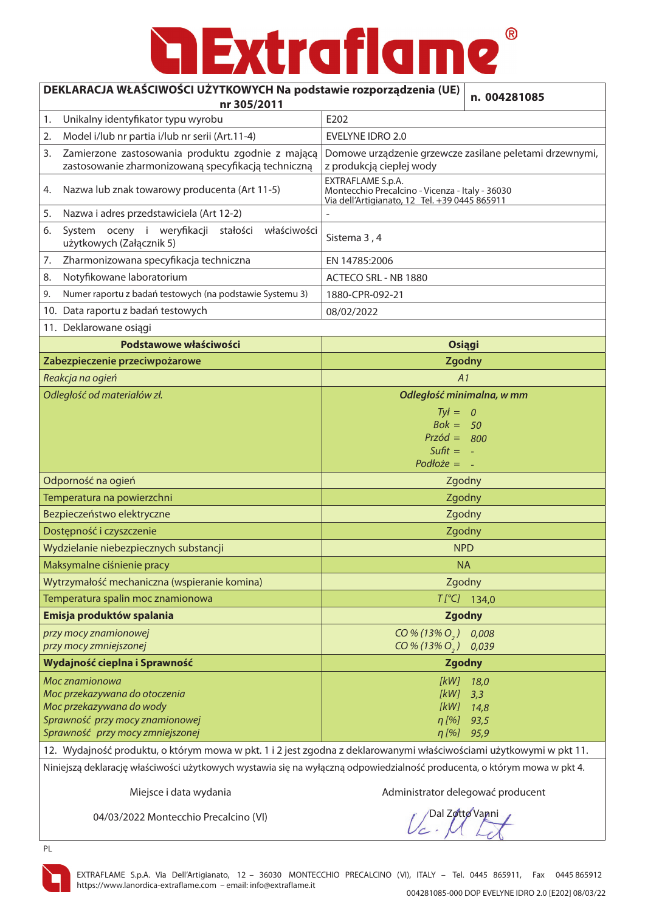### ® **Extraflame**

٦

#### **DEKLARACJA WŁAŚCIWOŚCI UŻYTKOWYCH Na podstawie rozporządzenia (UE)**

| CIWOSCI UZTTKOW I CITNA POUSIAWIE TUZPUTZĄUZENIA (UL)<br>n. 004281085<br>nr 305/2011                                                                        |                                                                                                                       |  |  |  |
|-------------------------------------------------------------------------------------------------------------------------------------------------------------|-----------------------------------------------------------------------------------------------------------------------|--|--|--|
| Unikalny identyfikator typu wyrobu<br>1.                                                                                                                    | E202                                                                                                                  |  |  |  |
| Model i/lub nr partia i/lub nr serii (Art.11-4)<br>2.                                                                                                       | <b>EVELYNE IDRO 2.0</b>                                                                                               |  |  |  |
| Zamierzone zastosowania produktu zgodnie z mającą<br>3.<br>zastosowanie zharmonizowaną specyfikacją techniczną                                              | Domowe urządzenie grzewcze zasilane peletami drzewnymi,<br>z produkcją ciepłej wody                                   |  |  |  |
| Nazwa lub znak towarowy producenta (Art 11-5)<br>4.                                                                                                         | EXTRAFLAME S.p.A.<br>Montecchio Precalcino - Vicenza - Italy - 36030<br>Via dell'Artigianato, 12 Tel. +39 0445 865911 |  |  |  |
| Nazwa i adres przedstawiciela (Art 12-2)<br>5.                                                                                                              |                                                                                                                       |  |  |  |
| System oceny i weryfikacji<br>stałości<br>właściwości<br>6.<br>użytkowych (Załącznik 5)                                                                     | Sistema 3, 4                                                                                                          |  |  |  |
| Zharmonizowana specyfikacja techniczna<br>7.                                                                                                                | EN 14785:2006                                                                                                         |  |  |  |
| Notyfikowane laboratorium<br>8.                                                                                                                             | ACTECO SRL - NB 1880                                                                                                  |  |  |  |
| Numer raportu z badań testowych (na podstawie Systemu 3)<br>9.                                                                                              | 1880-CPR-092-21                                                                                                       |  |  |  |
| 10. Data raportu z badań testowych                                                                                                                          | 08/02/2022                                                                                                            |  |  |  |
| 11. Deklarowane osiągi                                                                                                                                      |                                                                                                                       |  |  |  |
| Podstawowe właściwości                                                                                                                                      | <b>Osiągi</b>                                                                                                         |  |  |  |
| Zabezpieczenie przeciwpożarowe                                                                                                                              | <b>Zgodny</b>                                                                                                         |  |  |  |
| Reakcja na ogień                                                                                                                                            | A1                                                                                                                    |  |  |  |
| Odległość od materiałów zł.                                                                                                                                 | Odległość minimalna, w mm                                                                                             |  |  |  |
|                                                                                                                                                             | $Ty =$<br>$\theta$<br>$Bok = 50$<br>$Przód = 800$<br>Sufit $= -$<br>$Podloze = -$                                     |  |  |  |
| Odporność na ogień                                                                                                                                          | Zgodny                                                                                                                |  |  |  |
| Temperatura na powierzchni                                                                                                                                  | Zgodny                                                                                                                |  |  |  |
| Bezpieczeństwo elektryczne<br>Zgodny                                                                                                                        |                                                                                                                       |  |  |  |
| Dostępność i czyszczenie                                                                                                                                    | Zgodny                                                                                                                |  |  |  |
| Wydzielanie niebezpiecznych substancji                                                                                                                      | <b>NPD</b>                                                                                                            |  |  |  |
| Maksymalne ciśnienie pracy                                                                                                                                  | <b>NA</b>                                                                                                             |  |  |  |
| Wytrzymałość mechaniczna (wspieranie komina)                                                                                                                | Zgodny                                                                                                                |  |  |  |
| Temperatura spalin moc znamionowa                                                                                                                           | $T[^{\circ}C]$ 134,0                                                                                                  |  |  |  |
| Emisja produktów spalania                                                                                                                                   | <b>Zgodny</b>                                                                                                         |  |  |  |
| przy mocy znamionowej<br>przy mocy zmniejszonej                                                                                                             | $CO\% (13\% O, )$<br>0,008<br>$CO\% (13\% O_2)$ 0,039                                                                 |  |  |  |
| Wydajność cieplna i Sprawność                                                                                                                               | <b>Zgodny</b>                                                                                                         |  |  |  |
| Moc znamionowa<br>Moc przekazywana do otoczenia<br>Moc przekazywana do wody<br>Sprawność przy mocy znamionowej<br>Sprawność przy mocy zmniejszonej<br>12.10 | [kW]<br>18,0<br>[kW]<br>3,3<br>$[KW]$ 14,8<br>$\eta$ [%] 93,5<br>$\eta$ [%] 95,9                                      |  |  |  |

12. Wydajność produktu, o którym mowa w pkt. 1 i 2 jest zgodna z deklarowanymi właściwościami użytkowymi w pkt 11. Niniejszą deklarację właściwości użytkowych wystawia się na wyłączną odpowiedzialność producenta, o którym mowa w pkt 4.

Miejsce i data wydania Administrator delegować producent

04/03/2022 Montecchio Precalcino (VI)

**Dal Zotto Vanni** 

PL



EXTRAFLAME S.p.A. Via Dell'Artigianato, 12 – 36030 MONTECCHIO PRECALCINO (VI), ITALY – Tel. 0445 865911, Fax 0445 865912 https://www.lanordica-extraflame.com – email: info@extraflame.it 004281085-000 DOP EVELYNE IDRO 2.0 [E202] 08/03/22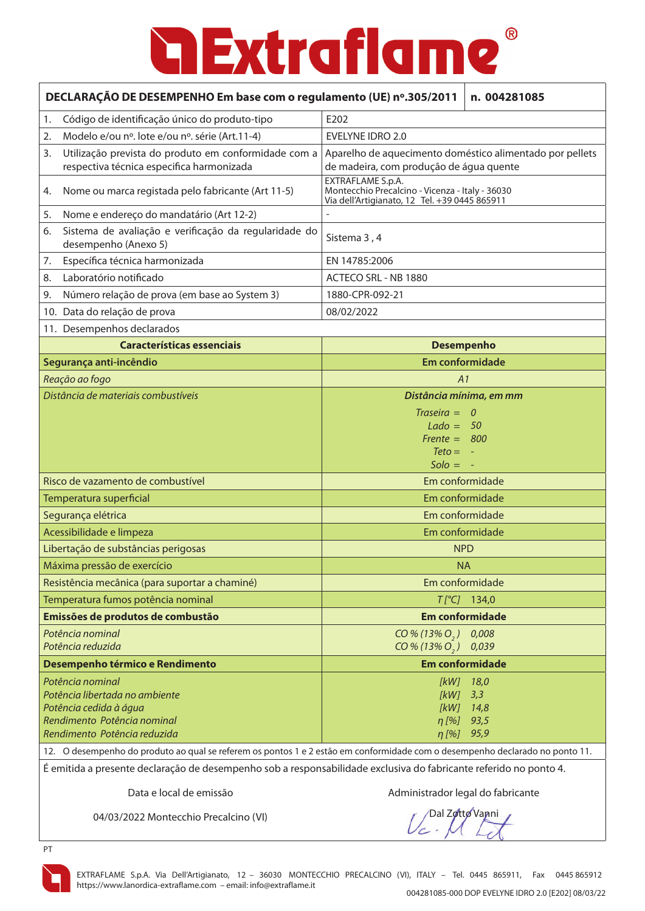| DECLARAÇÃO DE DESEMPENHO Em base com o regulamento (UE) nº.305/2011                                                                                                                                                                               | n. 004281085                                                                                                          |  |
|---------------------------------------------------------------------------------------------------------------------------------------------------------------------------------------------------------------------------------------------------|-----------------------------------------------------------------------------------------------------------------------|--|
| Código de identificação único do produto-tipo<br>1.                                                                                                                                                                                               | E202                                                                                                                  |  |
| Modelo e/ou nº. lote e/ou nº. série (Art.11-4)<br>2.                                                                                                                                                                                              | <b>EVELYNE IDRO 2.0</b>                                                                                               |  |
| Utilização prevista do produto em conformidade com a<br>3.<br>respectiva técnica especifica harmonizada                                                                                                                                           | Aparelho de aquecimento doméstico alimentado por pellets<br>de madeira, com produção de água quente                   |  |
| Nome ou marca registada pelo fabricante (Art 11-5)<br>4.                                                                                                                                                                                          | EXTRAFLAME S.p.A.<br>Montecchio Precalcino - Vicenza - Italy - 36030<br>Via dell'Artigianato, 12 Tel. +39 0445 865911 |  |
| Nome e endereço do mandatário (Art 12-2)<br>5.                                                                                                                                                                                                    |                                                                                                                       |  |
| Sistema de avaliação e verificação da regularidade do<br>6.<br>desempenho (Anexo 5)                                                                                                                                                               | Sistema 3, 4                                                                                                          |  |
| Específica técnica harmonizada<br>7.                                                                                                                                                                                                              | EN 14785:2006                                                                                                         |  |
| Laboratório notificado<br>8.                                                                                                                                                                                                                      | ACTECO SRL - NB 1880                                                                                                  |  |
| Número relação de prova (em base ao System 3)<br>9.                                                                                                                                                                                               | 1880-CPR-092-21                                                                                                       |  |
| Data do relação de prova<br>10.                                                                                                                                                                                                                   | 08/02/2022                                                                                                            |  |
| 11. Desempenhos declarados                                                                                                                                                                                                                        |                                                                                                                       |  |
| <b>Características essenciais</b>                                                                                                                                                                                                                 | <b>Desempenho</b>                                                                                                     |  |
| Segurança anti-incêndio                                                                                                                                                                                                                           | <b>Em conformidade</b>                                                                                                |  |
| Reação ao fogo                                                                                                                                                                                                                                    | A1                                                                                                                    |  |
| Distância de materiais combustíveis                                                                                                                                                                                                               | Distância mínima, em mm                                                                                               |  |
|                                                                                                                                                                                                                                                   | $Traseira =$<br>$\overline{\phantom{a}}$<br>$Lado = 50$<br>Frente = $800$<br>$Teto =$<br>$Solo =$                     |  |
| Risco de vazamento de combustível                                                                                                                                                                                                                 | Em conformidade                                                                                                       |  |
| Temperatura superficial                                                                                                                                                                                                                           | Em conformidade                                                                                                       |  |
| Segurança elétrica                                                                                                                                                                                                                                | Em conformidade                                                                                                       |  |
| Acessibilidade e limpeza                                                                                                                                                                                                                          | Em conformidade                                                                                                       |  |
| Libertação de substâncias perigosas                                                                                                                                                                                                               | <b>NPD</b>                                                                                                            |  |
| Máxima pressão de exercício                                                                                                                                                                                                                       | <b>NA</b>                                                                                                             |  |
| Resistência mecânica (para suportar a chaminé)                                                                                                                                                                                                    | Em conformidade                                                                                                       |  |
| Temperatura fumos potência nominal                                                                                                                                                                                                                | $T[^{\circ}C]$ 134,0                                                                                                  |  |
| Emissões de produtos de combustão                                                                                                                                                                                                                 | <b>Em conformidade</b>                                                                                                |  |
| Potência nominal<br>Potência reduzida                                                                                                                                                                                                             | 0,008<br>CO% (13% O, )<br>$CO\% (13\% O, )$<br>0,039                                                                  |  |
| Desempenho térmico e Rendimento                                                                                                                                                                                                                   | <b>Em conformidade</b>                                                                                                |  |
| Potência nominal<br>Potência libertada no ambiente<br>Potência cedida à água<br>Rendimento Potência nominal<br>Rendimento Potência reduzida                                                                                                       | [kW]<br>18,0<br>[kW]<br>3,3<br>[kW]<br>14,8<br>$\eta$ [%]<br>93,5<br>$\eta$ [%]<br>95,9                               |  |
| 12. O desempenho do produto ao qual se referem os pontos 1 e 2 estão em conformidade com o desempenho declarado no ponto 11.<br>É emitida a presente declaração de desempenho sob a responsabilidade exclusiva do fabricante referido no ponto 4. |                                                                                                                       |  |

Data e local de emissão entrarrecese a Administrador legal do fabricante

04/03/2022 Montecchio Precalcino (VI)

/Dal Z**øttø Van**ni



PT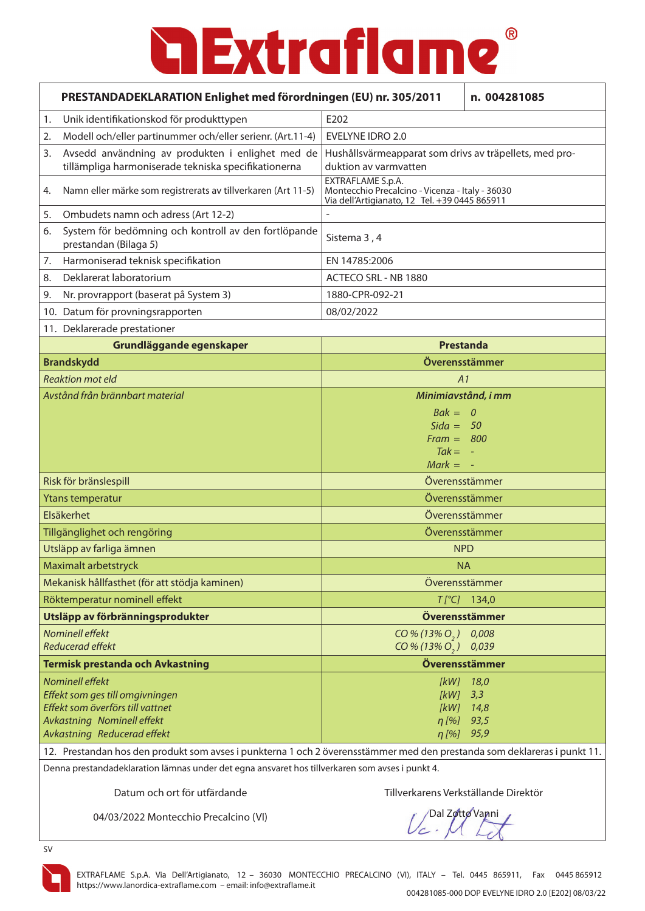| PRESTANDADEKLARATION Enlighet med förordningen (EU) nr. 305/2011 |                                                                                                                          |                                                                                                                       | n. 004281085         |
|------------------------------------------------------------------|--------------------------------------------------------------------------------------------------------------------------|-----------------------------------------------------------------------------------------------------------------------|----------------------|
| 1.                                                               | Unik identifikationskod för produkttypen                                                                                 | E202                                                                                                                  |                      |
| 2.                                                               | Modell och/eller partinummer och/eller serienr. (Art.11-4)                                                               | EVELYNE IDRO 2.0                                                                                                      |                      |
| 3.                                                               | Avsedd användning av produkten i enlighet med de<br>tillämpliga harmoniserade tekniska specifikationerna                 | Hushållsvärmeapparat som drivs av träpellets, med pro-<br>duktion av varmvatten                                       |                      |
| 4.                                                               | Namn eller märke som registrerats av tillverkaren (Art 11-5)                                                             | EXTRAFLAME S.p.A.<br>Montecchio Precalcino - Vicenza - Italy - 36030<br>Via dell'Artigianato, 12 Tel. +39 0445 865911 |                      |
| 5.                                                               | Ombudets namn och adress (Art 12-2)                                                                                      |                                                                                                                       |                      |
| 6.                                                               | System för bedömning och kontroll av den fortlöpande<br>prestandan (Bilaga 5)                                            | Sistema 3, 4                                                                                                          |                      |
| 7.                                                               | Harmoniserad teknisk specifikation                                                                                       | EN 14785:2006                                                                                                         |                      |
| 8.                                                               | Deklarerat laboratorium                                                                                                  | ACTECO SRL - NB 1880                                                                                                  |                      |
| 9.                                                               | Nr. provrapport (baserat på System 3)                                                                                    | 1880-CPR-092-21                                                                                                       |                      |
|                                                                  | 10. Datum för provningsrapporten                                                                                         | 08/02/2022                                                                                                            |                      |
|                                                                  | 11. Deklarerade prestationer                                                                                             |                                                                                                                       |                      |
|                                                                  | Grundläggande egenskaper                                                                                                 | <b>Prestanda</b>                                                                                                      |                      |
|                                                                  | <b>Brandskydd</b>                                                                                                        | Överensstämmer                                                                                                        |                      |
|                                                                  | <b>Reaktion mot eld</b>                                                                                                  | A1                                                                                                                    |                      |
|                                                                  | Avstånd från brännbart material                                                                                          | Minimiavstånd, i mm                                                                                                   |                      |
|                                                                  |                                                                                                                          | $Bak = 0$                                                                                                             |                      |
|                                                                  |                                                                                                                          | $Sida = 50$<br>$Frame = 800$                                                                                          |                      |
|                                                                  |                                                                                                                          | $Tak = -$                                                                                                             |                      |
|                                                                  |                                                                                                                          | $Mark = -$                                                                                                            |                      |
|                                                                  | Risk för bränslespill                                                                                                    | Överensstämmer                                                                                                        |                      |
|                                                                  | Ytans temperatur                                                                                                         | Överensstämmer                                                                                                        |                      |
|                                                                  | Elsäkerhet                                                                                                               | Överensstämmer                                                                                                        |                      |
|                                                                  | Tillgänglighet och rengöring                                                                                             | Överensstämmer                                                                                                        |                      |
|                                                                  | Utsläpp av farliga ämnen                                                                                                 | <b>NPD</b>                                                                                                            |                      |
|                                                                  | Maximalt arbetstryck                                                                                                     | <b>NA</b>                                                                                                             |                      |
|                                                                  | Mekanisk hållfasthet (för att stödja kaminen)                                                                            | Överensstämmer                                                                                                        |                      |
|                                                                  | Röktemperatur nominell effekt                                                                                            |                                                                                                                       | $T[^{\circ}C]$ 134,0 |
|                                                                  | Utsläpp av förbränningsprodukter                                                                                         | Överensstämmer                                                                                                        |                      |
|                                                                  | Nominell effekt                                                                                                          | $CO\% (13\% O_{2})$                                                                                                   | 0,008                |
|                                                                  | Reducerad effekt                                                                                                         | $CO\% (13\% O_{2})$                                                                                                   | 0,039                |
|                                                                  | <b>Termisk prestanda och Avkastning</b>                                                                                  | Överensstämmer                                                                                                        |                      |
|                                                                  | Nominell effekt                                                                                                          | [kW] 18,0                                                                                                             |                      |
|                                                                  | Effekt som ges till omgivningen<br>Effekt som överförs till vattnet                                                      | $[kW]$ 3,3<br>$[KW]$ 14,8                                                                                             |                      |
|                                                                  | Avkastning Nominell effekt                                                                                               | $\eta$ [%]                                                                                                            | 93,5                 |
|                                                                  | Avkastning Reducerad effekt                                                                                              | η [%]                                                                                                                 | 95,9                 |
|                                                                  | 12. Prestandan hos den produkt som avses i punkterna 1 och 2 överensstämmer med den prestanda som deklareras i punkt 11. |                                                                                                                       |                      |
|                                                                  | Denna prestandadeklaration lämnas under det egna ansvaret hos tillverkaren som avses i punkt 4.                          |                                                                                                                       |                      |

Datum och ort för utfärdande Tillverkarens Verkställande Direktör

04/03/2022 Montecchio Precalcino (VI)

Dal Zotto Vanni

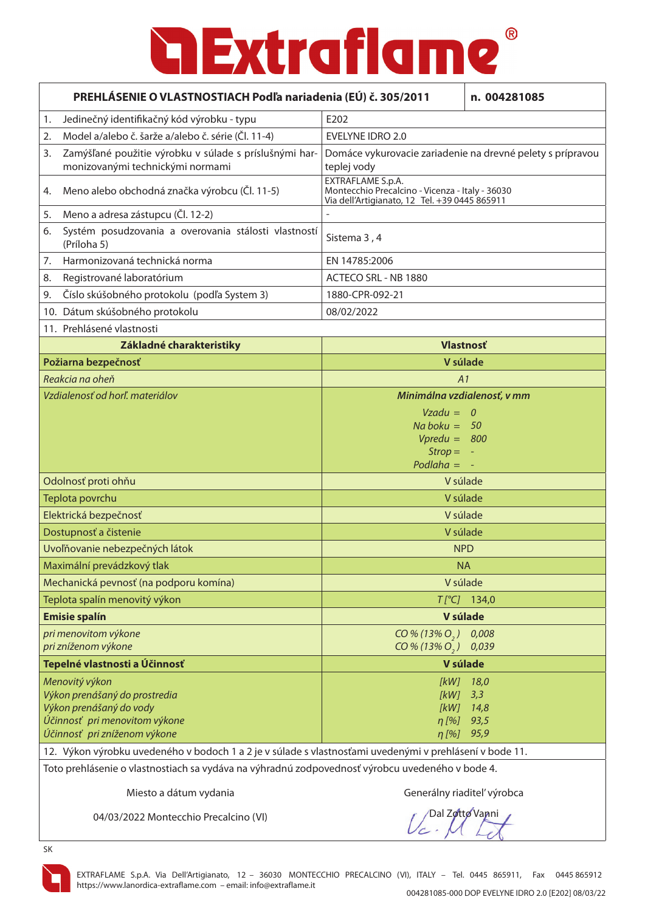| PREHLÁSENIE O VLASTNOSTIACH Podľa nariadenia (EÚ) č. 305/2011                                                                               |                             | n. 004281085                                                                                                          |                                     |
|---------------------------------------------------------------------------------------------------------------------------------------------|-----------------------------|-----------------------------------------------------------------------------------------------------------------------|-------------------------------------|
| Jedinečný identifikačný kód výrobku - typu<br>1.                                                                                            |                             | E202                                                                                                                  |                                     |
| Model a/alebo č. šarže a/alebo č. série (Čl. 11-4)<br>2.                                                                                    |                             | <b>EVELYNE IDRO 2.0</b>                                                                                               |                                     |
| Zamýšľané použitie výrobku v súlade s príslušnými har-<br>3.<br>monizovanými technickými normami                                            |                             | Domáce vykurovacie zariadenie na drevné pelety s prípravou<br>teplej vody                                             |                                     |
| Meno alebo obchodná značka výrobcu (Čl. 11-5)<br>4.                                                                                         |                             | EXTRAFLAME S.p.A.<br>Montecchio Precalcino - Vicenza - Italy - 36030<br>Via dell'Artigianato, 12 Tel. +39 0445 865911 |                                     |
| Meno a adresa zástupcu (Čl. 12-2)<br>5.                                                                                                     |                             |                                                                                                                       |                                     |
| Systém posudzovania a overovania stálosti vlastností<br>6.<br>(Príloha 5)                                                                   |                             | Sistema 3, 4                                                                                                          |                                     |
| Harmonizovaná technická norma<br>7.                                                                                                         |                             | EN 14785:2006                                                                                                         |                                     |
| Registrované laboratórium<br>8.                                                                                                             |                             | ACTECO SRL - NB 1880                                                                                                  |                                     |
| Číslo skúšobného protokolu (podľa System 3)<br>9.                                                                                           |                             | 1880-CPR-092-21                                                                                                       |                                     |
| 10. Dátum skúšobného protokolu                                                                                                              |                             | 08/02/2022                                                                                                            |                                     |
| 11. Prehlásené vlastnosti                                                                                                                   |                             |                                                                                                                       |                                     |
| Základné charakteristiky                                                                                                                    |                             | <b>Vlastnosť</b>                                                                                                      |                                     |
| Požiarna bezpečnosť                                                                                                                         |                             | V súlade                                                                                                              |                                     |
| Reakcia na oheň                                                                                                                             |                             | A1                                                                                                                    |                                     |
| Vzdialenosť od horľ. materiálov                                                                                                             | Minimálna vzdialenosť, v mm |                                                                                                                       |                                     |
|                                                                                                                                             |                             | $Vzadu = 0$<br>$Na$ boku = 50<br>$Vpredu = 800$<br>$Strop =$                                                          |                                     |
|                                                                                                                                             |                             | Podlaha $=$                                                                                                           |                                     |
| Odolnosť proti ohňu                                                                                                                         |                             | V súlade                                                                                                              |                                     |
| Teplota povrchu                                                                                                                             |                             | V súlade                                                                                                              |                                     |
| Elektrická bezpečnosť                                                                                                                       |                             | V súlade                                                                                                              |                                     |
| Dostupnosť a čistenie                                                                                                                       |                             | V súlade                                                                                                              |                                     |
| Uvoľňovanie nebezpečných látok                                                                                                              |                             | <b>NPD</b>                                                                                                            |                                     |
| Maximální prevádzkový tlak                                                                                                                  |                             | <b>NA</b>                                                                                                             |                                     |
| Mechanická pevnosť (na podporu komína)                                                                                                      |                             | V súlade                                                                                                              |                                     |
| Teplota spalín menovitý výkon                                                                                                               |                             |                                                                                                                       | $T[^{\circ}C]$ 134,0                |
| <b>Emisie spalín</b>                                                                                                                        |                             | V súlade                                                                                                              |                                     |
| pri menovitom výkone<br>pri zníženom výkone                                                                                                 |                             | $CO\% (13\% O, )$<br>$CO\% (13\% O, )$                                                                                | 0,008<br>0,039                      |
| Tepelné vlastnosti a Účinnosť                                                                                                               |                             | V súlade                                                                                                              |                                     |
| Menovitý výkon<br>Výkon prenášaný do prostredia<br>Výkon prenášaný do vody<br>Účinnosť pri menovitom výkone<br>Účinnosť pri zníženom výkone |                             | [kW]<br>[KW]<br>[kW]<br>$\eta$ [%]<br>$\eta$ [%]                                                                      | 18,0<br>3,3<br>14,8<br>93,5<br>95,9 |
| 12. Výkon výrobku uvedeného v bodoch 1 a 2 je v súlade s vlastnosťami uvedenými v prehlásení v bode 11.                                     |                             |                                                                                                                       |                                     |

Toto prehlásenie o vlastnostiach sa vydáva na výhradnú zodpovednosť výrobcu uvedeného v bode 4.

Miesto a dátum vydania do strongeré a Generálny riaditeľ výrobca

04/03/2022 Montecchio Precalcino (VI)

Dal Zotto Vanni

SK